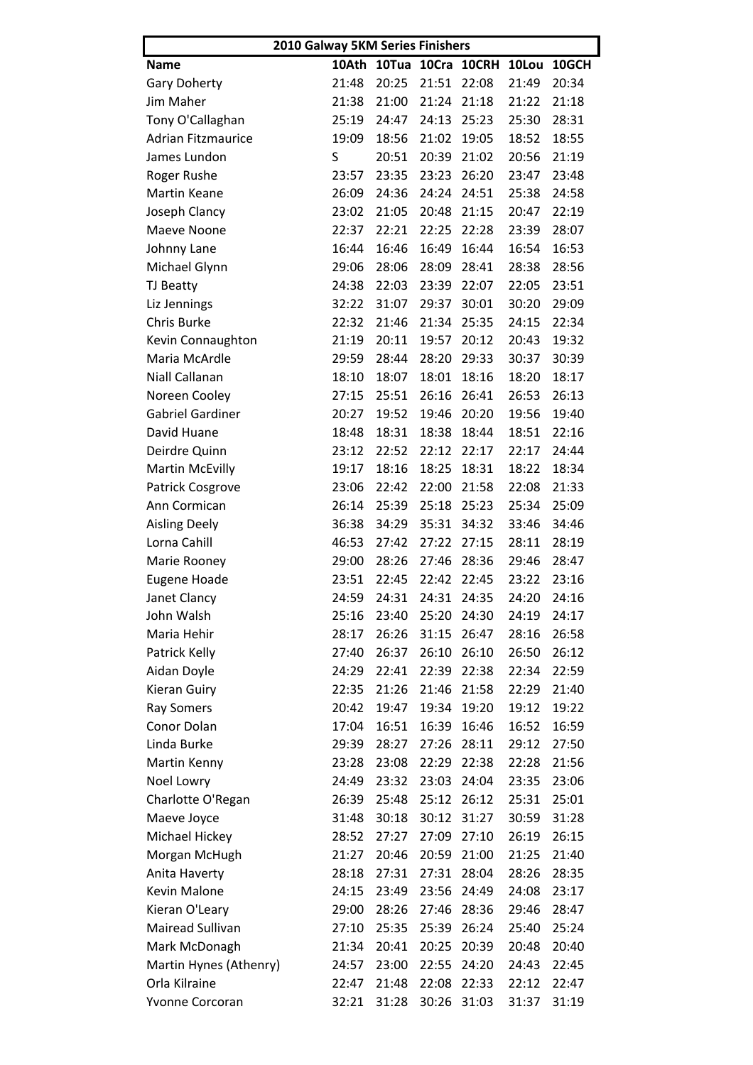| 2010 Galway 5KM Series Finishers |       |                         |             |                   |       |       |  |  |
|----------------------------------|-------|-------------------------|-------------|-------------------|-------|-------|--|--|
| <b>Name</b>                      | 10Ath |                         |             | 10Tua 10Cra 10CRH | 10Lou | 10GCH |  |  |
| <b>Gary Doherty</b>              | 21:48 | 20:25                   | 21:51       | 22:08             | 21:49 | 20:34 |  |  |
| Jim Maher                        | 21:38 | 21:00                   | 21:24       | 21:18             | 21:22 | 21:18 |  |  |
| Tony O'Callaghan                 | 25:19 | 24:47                   | 24:13       | 25:23             | 25:30 | 28:31 |  |  |
| <b>Adrian Fitzmaurice</b>        | 19:09 | 18:56                   | 21:02       | 19:05             | 18:52 | 18:55 |  |  |
| James Lundon                     | S     | 20:51                   | 20:39       | 21:02             | 20:56 | 21:19 |  |  |
| Roger Rushe                      | 23:57 | 23:35                   | 23:23       | 26:20             | 23:47 | 23:48 |  |  |
| <b>Martin Keane</b>              | 26:09 | 24:36                   | 24:24       | 24:51             | 25:38 | 24:58 |  |  |
| Joseph Clancy                    | 23:02 | 21:05                   | 20:48       | 21:15             | 20:47 | 22:19 |  |  |
| Maeve Noone                      | 22:37 | 22:21                   | 22:25       | 22:28             | 23:39 | 28:07 |  |  |
| Johnny Lane                      | 16:44 | 16:46                   | 16:49       | 16:44             | 16:54 | 16:53 |  |  |
| Michael Glynn                    | 29:06 | 28:06                   | 28:09       | 28:41             | 28:38 | 28:56 |  |  |
| TJ Beatty                        | 24:38 | 22:03                   | 23:39       | 22:07             | 22:05 | 23:51 |  |  |
| Liz Jennings                     | 32:22 | 31:07                   | 29:37       | 30:01             | 30:20 | 29:09 |  |  |
| Chris Burke                      | 22:32 | 21:46                   | 21:34       | 25:35             | 24:15 | 22:34 |  |  |
| Kevin Connaughton                | 21:19 | 20:11                   | 19:57       | 20:12             | 20:43 | 19:32 |  |  |
| Maria McArdle                    | 29:59 | 28:44                   | 28:20       | 29:33             | 30:37 | 30:39 |  |  |
| <b>Niall Callanan</b>            | 18:10 | 18:07                   | 18:01       | 18:16             | 18:20 | 18:17 |  |  |
| Noreen Cooley                    | 27:15 | 25:51                   | 26:16       | 26:41             | 26:53 | 26:13 |  |  |
| Gabriel Gardiner                 | 20:27 | 19:52                   | 19:46       | 20:20             | 19:56 | 19:40 |  |  |
| David Huane                      | 18:48 | 18:31                   | 18:38       | 18:44             | 18:51 | 22:16 |  |  |
| Deirdre Quinn                    | 23:12 | 22:52                   | 22:12       | 22:17             | 22:17 | 24:44 |  |  |
| <b>Martin McEvilly</b>           | 19:17 | 18:16                   | 18:25       | 18:31             | 18:22 | 18:34 |  |  |
| Patrick Cosgrove                 | 23:06 | 22:42                   | 22:00       | 21:58             | 22:08 | 21:33 |  |  |
| Ann Cormican                     | 26:14 | 25:39                   | 25:18       | 25:23             | 25:34 | 25:09 |  |  |
| <b>Aisling Deely</b>             | 36:38 | 34:29                   | 35:31       | 34:32             | 33:46 | 34:46 |  |  |
| Lorna Cahill                     | 46:53 | 27:42                   | 27:22       | 27:15             | 28:11 | 28:19 |  |  |
| Marie Rooney                     | 29:00 | 28:26                   | 27:46       | 28:36             | 29:46 | 28:47 |  |  |
| <b>Eugene Hoade</b>              | 23:51 | 22:45                   | 22:42       | 22:45             | 23:22 | 23:16 |  |  |
| Janet Clancy                     |       | 24:59 24:31 24:31 24:35 |             |                   | 24:20 | 24:16 |  |  |
| John Walsh                       | 25:16 | 23:40                   | 25:20       | 24:30             | 24:19 | 24:17 |  |  |
| Maria Hehir                      | 28:17 | 26:26                   | 31:15       | 26:47             | 28:16 | 26:58 |  |  |
| Patrick Kelly                    | 27:40 | 26:37                   | 26:10       | 26:10             | 26:50 | 26:12 |  |  |
| Aidan Doyle                      | 24:29 | 22:41                   | 22:39       | 22:38             | 22:34 | 22:59 |  |  |
| Kieran Guiry                     | 22:35 | 21:26                   | 21:46       | 21:58             | 22:29 | 21:40 |  |  |
| <b>Ray Somers</b>                | 20:42 | 19:47                   | 19:34       | 19:20             | 19:12 | 19:22 |  |  |
| Conor Dolan                      | 17:04 | 16:51                   | 16:39       | 16:46             | 16:52 | 16:59 |  |  |
| Linda Burke                      | 29:39 | 28:27                   | 27:26       | 28:11             | 29:12 | 27:50 |  |  |
| Martin Kenny                     | 23:28 | 23:08                   | 22:29       | 22:38             | 22:28 | 21:56 |  |  |
| Noel Lowry                       | 24:49 | 23:32                   | 23:03       | 24:04             | 23:35 | 23:06 |  |  |
| Charlotte O'Regan                | 26:39 | 25:48                   | 25:12       | 26:12             | 25:31 | 25:01 |  |  |
| Maeve Joyce                      | 31:48 | 30:18                   | 30:12       | 31:27             | 30:59 | 31:28 |  |  |
| Michael Hickey                   | 28:52 | 27:27                   | 27:09       | 27:10             | 26:19 | 26:15 |  |  |
|                                  |       |                         |             |                   |       |       |  |  |
| Morgan McHugh                    | 21:27 | 20:46                   | 20:59       | 21:00             | 21:25 | 21:40 |  |  |
| Anita Haverty                    | 28:18 | 27:31                   | 27:31       | 28:04             | 28:26 | 28:35 |  |  |
| Kevin Malone                     | 24:15 | 23:49                   | 23:56       | 24:49             | 24:08 | 23:17 |  |  |
| Kieran O'Leary                   | 29:00 | 28:26                   | 27:46       | 28:36             | 29:46 | 28:47 |  |  |
| Mairead Sullivan                 | 27:10 | 25:35                   | 25:39       | 26:24             | 25:40 | 25:24 |  |  |
| Mark McDonagh                    | 21:34 | 20:41                   | 20:25       | 20:39             | 20:48 | 20:40 |  |  |
| Martin Hynes (Athenry)           | 24:57 | 23:00                   | 22:55       | 24:20             | 24:43 | 22:45 |  |  |
| Orla Kilraine                    | 22:47 | 21:48                   | 22:08       | 22:33             | 22:12 | 22:47 |  |  |
| Yvonne Corcoran                  | 32:21 | 31:28                   | 30:26 31:03 |                   | 31:37 | 31:19 |  |  |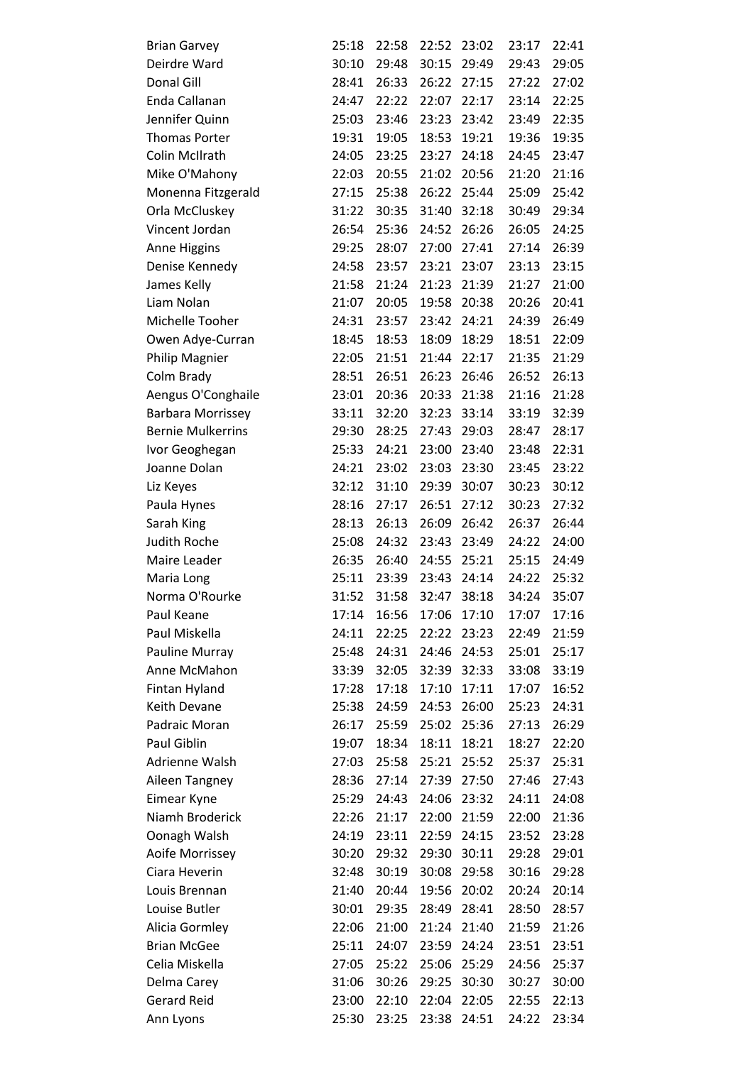| <b>Brian Garvey</b>      | 25:18 | 22:58 | 22:52 | 23:02 | 23:17 | 22:41 |
|--------------------------|-------|-------|-------|-------|-------|-------|
| Deirdre Ward             | 30:10 | 29:48 | 30:15 | 29:49 | 29:43 | 29:05 |
| Donal Gill               | 28:41 | 26:33 | 26:22 | 27:15 | 27:22 | 27:02 |
| Enda Callanan            | 24:47 | 22:22 | 22:07 | 22:17 | 23:14 | 22:25 |
| Jennifer Quinn           | 25:03 | 23:46 | 23:23 | 23:42 | 23:49 | 22:35 |
| <b>Thomas Porter</b>     | 19:31 | 19:05 | 18:53 | 19:21 | 19:36 | 19:35 |
| Colin McIlrath           | 24:05 | 23:25 | 23:27 | 24:18 | 24:45 | 23:47 |
| Mike O'Mahony            | 22:03 | 20:55 | 21:02 | 20:56 | 21:20 | 21:16 |
| Monenna Fitzgerald       | 27:15 | 25:38 | 26:22 | 25:44 | 25:09 | 25:42 |
| Orla McCluskey           | 31:22 | 30:35 | 31:40 | 32:18 | 30:49 | 29:34 |
| Vincent Jordan           | 26:54 | 25:36 | 24:52 | 26:26 | 26:05 | 24:25 |
| Anne Higgins             | 29:25 | 28:07 | 27:00 | 27:41 | 27:14 | 26:39 |
| Denise Kennedy           | 24:58 | 23:57 | 23:21 | 23:07 | 23:13 | 23:15 |
| James Kelly              | 21:58 | 21:24 | 21:23 | 21:39 | 21:27 | 21:00 |
| Liam Nolan               | 21:07 | 20:05 | 19:58 | 20:38 | 20:26 | 20:41 |
| Michelle Tooher          | 24:31 | 23:57 | 23:42 | 24:21 | 24:39 | 26:49 |
| Owen Adye-Curran         | 18:45 | 18:53 | 18:09 | 18:29 | 18:51 | 22:09 |
| Philip Magnier           | 22:05 | 21:51 | 21:44 | 22:17 | 21:35 | 21:29 |
| Colm Brady               | 28:51 | 26:51 | 26:23 | 26:46 | 26:52 | 26:13 |
| Aengus O'Conghaile       | 23:01 | 20:36 | 20:33 | 21:38 | 21:16 | 21:28 |
| <b>Barbara Morrissey</b> | 33:11 | 32:20 | 32:23 | 33:14 | 33:19 | 32:39 |
| <b>Bernie Mulkerrins</b> | 29:30 | 28:25 | 27:43 | 29:03 | 28:47 | 28:17 |
| Ivor Geoghegan           | 25:33 | 24:21 | 23:00 | 23:40 | 23:48 | 22:31 |
| Joanne Dolan             | 24:21 | 23:02 | 23:03 | 23:30 | 23:45 | 23:22 |
|                          |       |       |       | 30:07 | 30:23 |       |
| Liz Keyes                | 32:12 | 31:10 | 29:39 |       |       | 30:12 |
| Paula Hynes              | 28:16 | 27:17 | 26:51 | 27:12 | 30:23 | 27:32 |
| Sarah King               | 28:13 | 26:13 | 26:09 | 26:42 | 26:37 | 26:44 |
| <b>Judith Roche</b>      | 25:08 | 24:32 | 23:43 | 23:49 | 24:22 | 24:00 |
| Maire Leader             | 26:35 | 26:40 | 24:55 | 25:21 | 25:15 | 24:49 |
| Maria Long               | 25:11 | 23:39 | 23:43 | 24:14 | 24:22 | 25:32 |
| Norma O'Rourke           | 31:52 | 31:58 | 32:47 | 38:18 | 34:24 | 35:07 |
| Paul Keane               | 17:14 | 16:56 | 17:06 | 17:10 | 17:07 | 17:16 |
| Paul Miskella            | 24:11 | 22:25 | 22:22 | 23:23 | 22:49 | 21:59 |
| Pauline Murray           | 25:48 | 24:31 | 24:46 | 24:53 | 25:01 | 25:17 |
| Anne McMahon             | 33:39 | 32:05 | 32:39 | 32:33 | 33:08 | 33:19 |
| Fintan Hyland            | 17:28 | 17:18 | 17:10 | 17:11 | 17:07 | 16:52 |
| Keith Devane             | 25:38 | 24:59 | 24:53 | 26:00 | 25:23 | 24:31 |
| Padraic Moran            | 26:17 | 25:59 | 25:02 | 25:36 | 27:13 | 26:29 |
| Paul Giblin              | 19:07 | 18:34 | 18:11 | 18:21 | 18:27 | 22:20 |
| Adrienne Walsh           | 27:03 | 25:58 | 25:21 | 25:52 | 25:37 | 25:31 |
| Aileen Tangney           | 28:36 | 27:14 | 27:39 | 27:50 | 27:46 | 27:43 |
| Eimear Kyne              | 25:29 | 24:43 | 24:06 | 23:32 | 24:11 | 24:08 |
| Niamh Broderick          | 22:26 | 21:17 | 22:00 | 21:59 | 22:00 | 21:36 |
| Oonagh Walsh             | 24:19 | 23:11 | 22:59 | 24:15 | 23:52 | 23:28 |
| Aoife Morrissey          | 30:20 | 29:32 | 29:30 | 30:11 | 29:28 | 29:01 |
| Ciara Heverin            | 32:48 | 30:19 | 30:08 | 29:58 | 30:16 | 29:28 |
| Louis Brennan            | 21:40 | 20:44 | 19:56 | 20:02 | 20:24 | 20:14 |
| Louise Butler            | 30:01 | 29:35 | 28:49 | 28:41 | 28:50 | 28:57 |
| Alicia Gormley           | 22:06 | 21:00 | 21:24 | 21:40 | 21:59 | 21:26 |
| <b>Brian McGee</b>       | 25:11 | 24:07 | 23:59 | 24:24 | 23:51 | 23:51 |
| Celia Miskella           | 27:05 | 25:22 | 25:06 | 25:29 | 24:56 | 25:37 |
| Delma Carey              | 31:06 | 30:26 | 29:25 | 30:30 | 30:27 | 30:00 |
| <b>Gerard Reid</b>       | 23:00 | 22:10 | 22:04 | 22:05 | 22:55 | 22:13 |
| Ann Lyons                | 25:30 | 23:25 | 23:38 | 24:51 | 24:22 | 23:34 |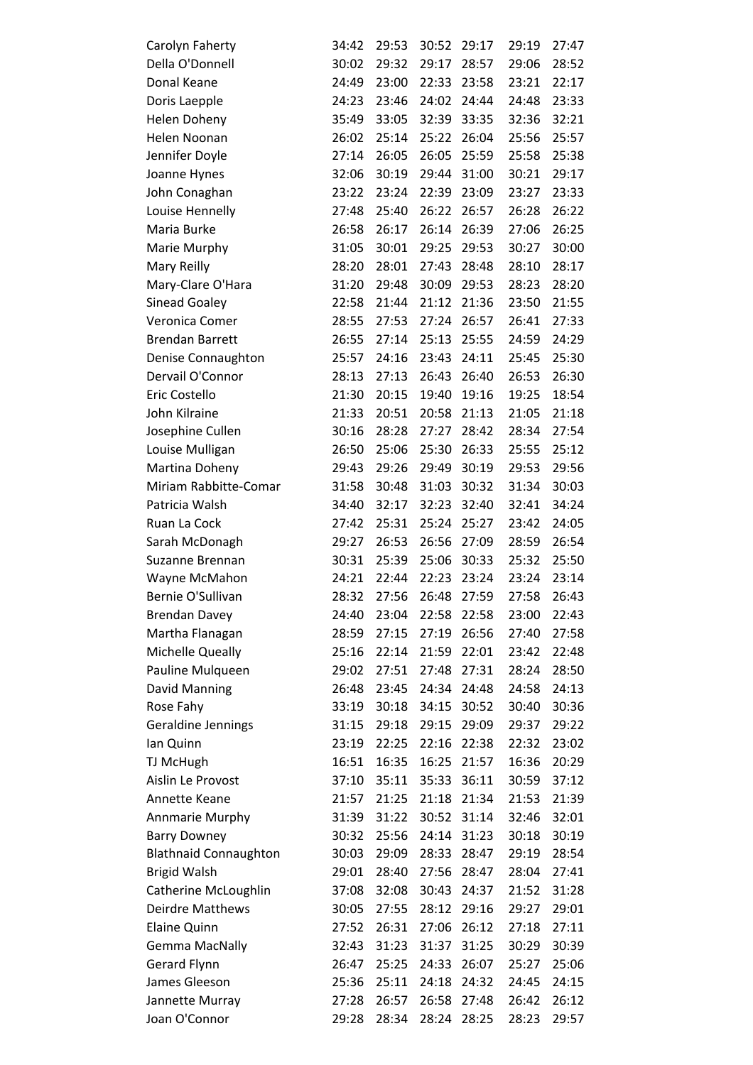| Carolyn Faherty              | 34:42 | 29:53 | 30:52 | 29:17 | 29:19 | 27:47 |
|------------------------------|-------|-------|-------|-------|-------|-------|
| Della O'Donnell              | 30:02 | 29:32 | 29:17 | 28:57 | 29:06 | 28:52 |
| Donal Keane                  | 24:49 | 23:00 | 22:33 | 23:58 | 23:21 | 22:17 |
| Doris Laepple                | 24:23 | 23:46 | 24:02 | 24:44 | 24:48 | 23:33 |
| Helen Doheny                 | 35:49 | 33:05 | 32:39 | 33:35 | 32:36 | 32:21 |
| Helen Noonan                 | 26:02 | 25:14 | 25:22 | 26:04 | 25:56 | 25:57 |
| Jennifer Doyle               | 27:14 | 26:05 | 26:05 | 25:59 | 25:58 | 25:38 |
| Joanne Hynes                 | 32:06 | 30:19 | 29:44 | 31:00 | 30:21 | 29:17 |
| John Conaghan                | 23:22 | 23:24 | 22:39 | 23:09 | 23:27 | 23:33 |
| Louise Hennelly              | 27:48 | 25:40 | 26:22 | 26:57 | 26:28 | 26:22 |
| Maria Burke                  | 26:58 | 26:17 | 26:14 | 26:39 | 27:06 | 26:25 |
| Marie Murphy                 | 31:05 | 30:01 | 29:25 | 29:53 | 30:27 | 30:00 |
| Mary Reilly                  | 28:20 | 28:01 | 27:43 | 28:48 | 28:10 | 28:17 |
| Mary-Clare O'Hara            | 31:20 | 29:48 | 30:09 | 29:53 | 28:23 | 28:20 |
| <b>Sinead Goaley</b>         | 22:58 | 21:44 | 21:12 | 21:36 | 23:50 | 21:55 |
| Veronica Comer               | 28:55 | 27:53 | 27:24 | 26:57 | 26:41 | 27:33 |
| <b>Brendan Barrett</b>       | 26:55 | 27:14 | 25:13 | 25:55 | 24:59 | 24:29 |
| Denise Connaughton           | 25:57 | 24:16 | 23:43 | 24:11 | 25:45 | 25:30 |
| Dervail O'Connor             | 28:13 | 27:13 | 26:43 | 26:40 | 26:53 | 26:30 |
| Eric Costello                | 21:30 | 20:15 | 19:40 | 19:16 | 19:25 | 18:54 |
| John Kilraine                | 21:33 | 20:51 | 20:58 | 21:13 | 21:05 | 21:18 |
| Josephine Cullen             | 30:16 | 28:28 | 27:27 | 28:42 | 28:34 | 27:54 |
| Louise Mulligan              | 26:50 | 25:06 | 25:30 | 26:33 | 25:55 | 25:12 |
| Martina Doheny               | 29:43 | 29:26 | 29:49 | 30:19 | 29:53 | 29:56 |
| Miriam Rabbitte-Comar        | 31:58 | 30:48 | 31:03 | 30:32 | 31:34 | 30:03 |
| Patricia Walsh               | 34:40 | 32:17 | 32:23 | 32:40 | 32:41 | 34:24 |
| Ruan La Cock                 | 27:42 | 25:31 | 25:24 | 25:27 | 23:42 | 24:05 |
| Sarah McDonagh               | 29:27 | 26:53 | 26:56 | 27:09 | 28:59 | 26:54 |
| Suzanne Brennan              | 30:31 | 25:39 | 25:06 | 30:33 | 25:32 | 25:50 |
| Wayne McMahon                | 24:21 | 22:44 | 22:23 | 23:24 | 23:24 | 23:14 |
| Bernie O'Sullivan            | 28:32 | 27:56 | 26:48 | 27:59 | 27:58 | 26:43 |
| <b>Brendan Davey</b>         | 24:40 | 23:04 | 22:58 | 22:58 | 23:00 | 22:43 |
| Martha Flanagan              | 28:59 | 27:15 | 27:19 | 26:56 | 27:40 | 27:58 |
| Michelle Queally             | 25:16 | 22:14 | 21:59 | 22:01 | 23:42 | 22:48 |
| Pauline Mulqueen             | 29:02 | 27:51 | 27:48 | 27:31 | 28:24 | 28:50 |
| David Manning                | 26:48 | 23:45 | 24:34 | 24:48 | 24:58 | 24:13 |
| Rose Fahy                    | 33:19 | 30:18 | 34:15 | 30:52 | 30:40 | 30:36 |
| Geraldine Jennings           | 31:15 | 29:18 | 29:15 | 29:09 | 29:37 | 29:22 |
| lan Quinn                    | 23:19 | 22:25 | 22:16 | 22:38 | 22:32 | 23:02 |
| TJ McHugh                    | 16:51 | 16:35 | 16:25 | 21:57 | 16:36 | 20:29 |
| Aislin Le Provost            | 37:10 | 35:11 | 35:33 | 36:11 | 30:59 | 37:12 |
| Annette Keane                | 21:57 | 21:25 | 21:18 | 21:34 | 21:53 | 21:39 |
| Annmarie Murphy              | 31:39 | 31:22 | 30:52 | 31:14 | 32:46 | 32:01 |
| <b>Barry Downey</b>          | 30:32 | 25:56 | 24:14 | 31:23 | 30:18 | 30:19 |
| <b>Blathnaid Connaughton</b> | 30:03 | 29:09 | 28:33 | 28:47 | 29:19 | 28:54 |
| <b>Brigid Walsh</b>          | 29:01 | 28:40 | 27:56 | 28:47 | 28:04 | 27:41 |
| Catherine McLoughlin         | 37:08 | 32:08 | 30:43 | 24:37 | 21:52 | 31:28 |
| Deirdre Matthews             | 30:05 | 27:55 | 28:12 | 29:16 | 29:27 | 29:01 |
| <b>Elaine Quinn</b>          | 27:52 | 26:31 | 27:06 | 26:12 | 27:18 | 27:11 |
| <b>Gemma MacNally</b>        | 32:43 | 31:23 | 31:37 | 31:25 | 30:29 | 30:39 |
| <b>Gerard Flynn</b>          | 26:47 | 25:25 | 24:33 | 26:07 | 25:27 | 25:06 |
| James Gleeson                | 25:36 | 25:11 | 24:18 | 24:32 | 24:45 | 24:15 |
| Jannette Murray              | 27:28 | 26:57 | 26:58 | 27:48 | 26:42 | 26:12 |
| Joan O'Connor                | 29:28 | 28:34 | 28:24 | 28:25 | 28:23 | 29:57 |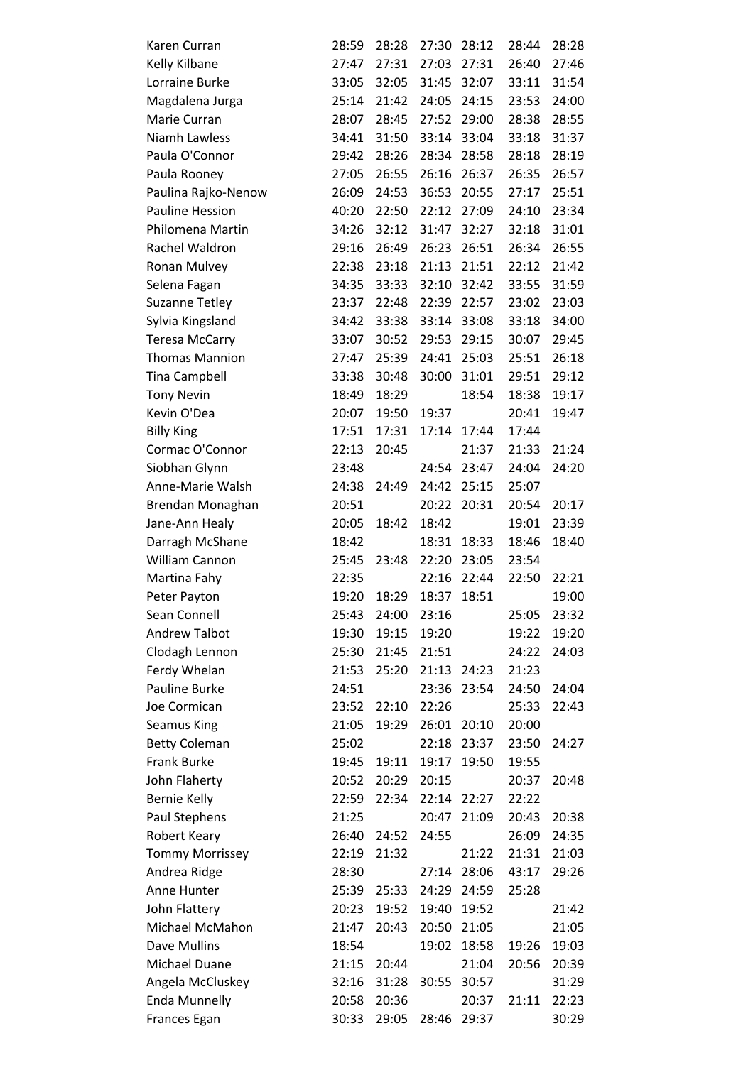| Karen Curran           | 28:59 | 28:28 | 27:30 | 28:12 | 28:44 | 28:28 |
|------------------------|-------|-------|-------|-------|-------|-------|
| Kelly Kilbane          | 27:47 | 27:31 | 27:03 | 27:31 | 26:40 | 27:46 |
| Lorraine Burke         | 33:05 | 32:05 | 31:45 | 32:07 | 33:11 | 31:54 |
| Magdalena Jurga        | 25:14 | 21:42 | 24:05 | 24:15 | 23:53 | 24:00 |
| Marie Curran           | 28:07 | 28:45 | 27:52 | 29:00 | 28:38 | 28:55 |
| Niamh Lawless          | 34:41 | 31:50 | 33:14 | 33:04 | 33:18 | 31:37 |
| Paula O'Connor         | 29:42 | 28:26 | 28:34 | 28:58 | 28:18 | 28:19 |
| Paula Rooney           | 27:05 | 26:55 | 26:16 | 26:37 | 26:35 | 26:57 |
| Paulina Rajko-Nenow    | 26:09 | 24:53 | 36:53 | 20:55 | 27:17 | 25:51 |
| <b>Pauline Hession</b> | 40:20 | 22:50 | 22:12 | 27:09 | 24:10 | 23:34 |
| Philomena Martin       | 34:26 | 32:12 | 31:47 | 32:27 | 32:18 | 31:01 |
| Rachel Waldron         | 29:16 | 26:49 | 26:23 | 26:51 | 26:34 | 26:55 |
| Ronan Mulvey           | 22:38 | 23:18 | 21:13 | 21:51 | 22:12 | 21:42 |
| Selena Fagan           | 34:35 | 33:33 | 32:10 | 32:42 | 33:55 | 31:59 |
| <b>Suzanne Tetley</b>  | 23:37 | 22:48 | 22:39 | 22:57 | 23:02 | 23:03 |
| Sylvia Kingsland       | 34:42 | 33:38 | 33:14 | 33:08 | 33:18 | 34:00 |
| <b>Teresa McCarry</b>  | 33:07 | 30:52 | 29:53 | 29:15 | 30:07 | 29:45 |
| <b>Thomas Mannion</b>  | 27:47 | 25:39 | 24:41 | 25:03 | 25:51 | 26:18 |
| <b>Tina Campbell</b>   | 33:38 | 30:48 | 30:00 | 31:01 | 29:51 | 29:12 |
| <b>Tony Nevin</b>      | 18:49 | 18:29 |       | 18:54 | 18:38 | 19:17 |
| Kevin O'Dea            | 20:07 | 19:50 | 19:37 |       | 20:41 | 19:47 |
| <b>Billy King</b>      | 17:51 | 17:31 | 17:14 | 17:44 | 17:44 |       |
| Cormac O'Connor        | 22:13 | 20:45 |       | 21:37 | 21:33 | 21:24 |
| Siobhan Glynn          | 23:48 |       | 24:54 | 23:47 | 24:04 | 24:20 |
| Anne-Marie Walsh       | 24:38 | 24:49 | 24:42 | 25:15 | 25:07 |       |
| Brendan Monaghan       | 20:51 |       | 20:22 | 20:31 | 20:54 | 20:17 |
| Jane-Ann Healy         | 20:05 | 18:42 | 18:42 |       | 19:01 | 23:39 |
| Darragh McShane        | 18:42 |       | 18:31 | 18:33 | 18:46 | 18:40 |
| William Cannon         | 25:45 | 23:48 | 22:20 | 23:05 | 23:54 |       |
| Martina Fahy           | 22:35 |       | 22:16 | 22:44 | 22:50 | 22:21 |
| Peter Payton           | 19:20 | 18:29 | 18:37 | 18:51 |       | 19:00 |
| Sean Connell           | 25:43 | 24:00 | 23:16 |       | 25:05 | 23:32 |
| <b>Andrew Talbot</b>   | 19:30 | 19:15 | 19:20 |       | 19:22 | 19:20 |
| Clodagh Lennon         | 25:30 | 21:45 | 21:51 |       | 24:22 | 24:03 |
| Ferdy Whelan           | 21:53 | 25:20 | 21:13 | 24:23 | 21:23 |       |
| Pauline Burke          | 24:51 |       | 23:36 | 23:54 | 24:50 | 24:04 |
| Joe Cormican           | 23:52 | 22:10 | 22:26 |       | 25:33 | 22:43 |
| <b>Seamus King</b>     | 21:05 | 19:29 | 26:01 | 20:10 | 20:00 |       |
| <b>Betty Coleman</b>   | 25:02 |       | 22:18 | 23:37 | 23:50 | 24:27 |
| <b>Frank Burke</b>     | 19:45 | 19:11 | 19:17 | 19:50 | 19:55 |       |
| John Flaherty          | 20:52 | 20:29 | 20:15 |       | 20:37 | 20:48 |
| <b>Bernie Kelly</b>    | 22:59 | 22:34 | 22:14 | 22:27 | 22:22 |       |
| Paul Stephens          | 21:25 |       | 20:47 | 21:09 | 20:43 | 20:38 |
| Robert Keary           | 26:40 | 24:52 | 24:55 |       | 26:09 | 24:35 |
| <b>Tommy Morrissey</b> | 22:19 | 21:32 |       | 21:22 | 21:31 | 21:03 |
| Andrea Ridge           | 28:30 |       | 27:14 | 28:06 | 43:17 | 29:26 |
| Anne Hunter            | 25:39 | 25:33 | 24:29 | 24:59 | 25:28 |       |
| John Flattery          | 20:23 | 19:52 | 19:40 | 19:52 |       | 21:42 |
| Michael McMahon        | 21:47 | 20:43 | 20:50 | 21:05 |       | 21:05 |
| Dave Mullins           | 18:54 |       | 19:02 | 18:58 | 19:26 | 19:03 |
| <b>Michael Duane</b>   | 21:15 | 20:44 |       | 21:04 | 20:56 | 20:39 |
| Angela McCluskey       | 32:16 | 31:28 | 30:55 | 30:57 |       | 31:29 |
| <b>Enda Munnelly</b>   | 20:58 | 20:36 |       | 20:37 | 21:11 | 22:23 |
| Frances Egan           | 30:33 | 29:05 | 28:46 | 29:37 |       | 30:29 |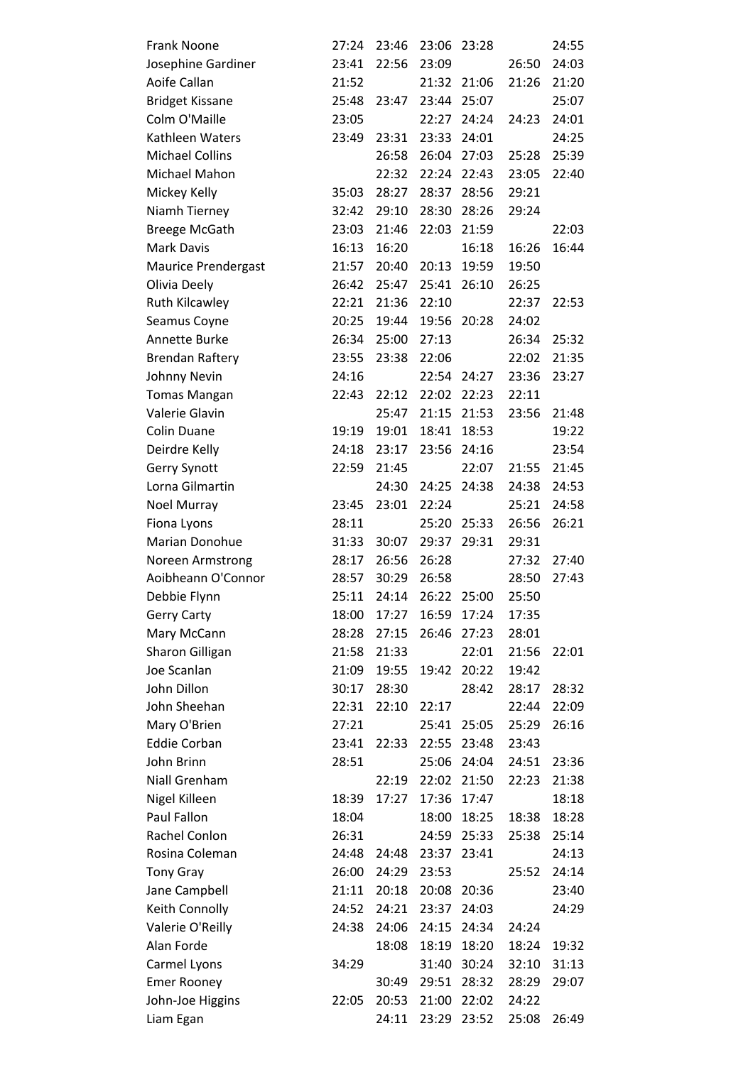| <b>Frank Noone</b>     | 27:24 | 23:46 | 23:06 | 23:28 |       | 24:55 |
|------------------------|-------|-------|-------|-------|-------|-------|
| Josephine Gardiner     | 23:41 | 22:56 | 23:09 |       | 26:50 | 24:03 |
| Aoife Callan           | 21:52 |       | 21:32 | 21:06 | 21:26 | 21:20 |
| <b>Bridget Kissane</b> | 25:48 | 23:47 | 23:44 | 25:07 |       | 25:07 |
| Colm O'Maille          | 23:05 |       | 22:27 | 24:24 | 24:23 | 24:01 |
| Kathleen Waters        | 23:49 | 23:31 | 23:33 | 24:01 |       | 24:25 |
| <b>Michael Collins</b> |       | 26:58 | 26:04 | 27:03 | 25:28 | 25:39 |
| Michael Mahon          |       | 22:32 | 22:24 | 22:43 | 23:05 | 22:40 |
| Mickey Kelly           | 35:03 | 28:27 | 28:37 | 28:56 | 29:21 |       |
| Niamh Tierney          | 32:42 | 29:10 | 28:30 | 28:26 | 29:24 |       |
| <b>Breege McGath</b>   | 23:03 | 21:46 | 22:03 | 21:59 |       | 22:03 |
| Mark Davis             | 16:13 | 16:20 |       | 16:18 | 16:26 | 16:44 |
| Maurice Prendergast    | 21:57 | 20:40 | 20:13 | 19:59 | 19:50 |       |
| Olivia Deely           | 26:42 | 25:47 | 25:41 | 26:10 | 26:25 |       |
| Ruth Kilcawley         | 22:21 | 21:36 | 22:10 |       | 22:37 | 22:53 |
| Seamus Coyne           | 20:25 | 19:44 | 19:56 | 20:28 | 24:02 |       |
| Annette Burke          | 26:34 | 25:00 | 27:13 |       | 26:34 | 25:32 |
| <b>Brendan Raftery</b> | 23:55 | 23:38 | 22:06 |       | 22:02 | 21:35 |
| Johnny Nevin           | 24:16 |       | 22:54 | 24:27 | 23:36 | 23:27 |
| <b>Tomas Mangan</b>    | 22:43 | 22:12 | 22:02 | 22:23 | 22:11 |       |
| Valerie Glavin         |       | 25:47 | 21:15 | 21:53 | 23:56 | 21:48 |
| Colin Duane            | 19:19 | 19:01 | 18:41 | 18:53 |       | 19:22 |
| Deirdre Kelly          | 24:18 | 23:17 | 23:56 | 24:16 |       | 23:54 |
| <b>Gerry Synott</b>    | 22:59 | 21:45 |       | 22:07 | 21:55 | 21:45 |
| Lorna Gilmartin        |       | 24:30 | 24:25 | 24:38 | 24:38 | 24:53 |
| Noel Murray            | 23:45 | 23:01 | 22:24 |       | 25:21 | 24:58 |
| Fiona Lyons            | 28:11 |       | 25:20 | 25:33 | 26:56 | 26:21 |
| Marian Donohue         | 31:33 | 30:07 | 29:37 | 29:31 | 29:31 |       |
| Noreen Armstrong       | 28:17 | 26:56 | 26:28 |       | 27:32 | 27:40 |
| Aoibheann O'Connor     | 28:57 | 30:29 | 26:58 |       | 28:50 | 27:43 |
| Debbie Flynn           | 25:11 | 24:14 | 26:22 | 25:00 | 25:50 |       |
| <b>Gerry Carty</b>     | 18:00 | 17:27 | 16:59 | 17:24 | 17:35 |       |
| Mary McCann            | 28:28 | 27:15 | 26:46 | 27:23 | 28:01 |       |
| Sharon Gilligan        | 21:58 | 21:33 |       | 22:01 | 21:56 | 22:01 |
| Joe Scanlan            | 21:09 | 19:55 | 19:42 | 20:22 | 19:42 |       |
| John Dillon            | 30:17 | 28:30 |       | 28:42 | 28:17 | 28:32 |
| John Sheehan           | 22:31 | 22:10 | 22:17 |       | 22:44 | 22:09 |
| Mary O'Brien           | 27:21 |       | 25:41 | 25:05 | 25:29 | 26:16 |
| <b>Eddie Corban</b>    | 23:41 | 22:33 | 22:55 | 23:48 | 23:43 |       |
| John Brinn             | 28:51 |       | 25:06 | 24:04 | 24:51 | 23:36 |
| Niall Grenham          |       | 22:19 | 22:02 | 21:50 | 22:23 | 21:38 |
| Nigel Killeen          | 18:39 | 17:27 | 17:36 | 17:47 |       | 18:18 |
| Paul Fallon            | 18:04 |       | 18:00 | 18:25 | 18:38 | 18:28 |
| Rachel Conlon          | 26:31 |       | 24:59 | 25:33 | 25:38 | 25:14 |
| Rosina Coleman         | 24:48 | 24:48 | 23:37 | 23:41 |       | 24:13 |
| <b>Tony Gray</b>       | 26:00 | 24:29 | 23:53 |       | 25:52 | 24:14 |
| Jane Campbell          | 21:11 | 20:18 | 20:08 | 20:36 |       | 23:40 |
| Keith Connolly         | 24:52 | 24:21 | 23:37 | 24:03 |       | 24:29 |
| Valerie O'Reilly       | 24:38 | 24:06 | 24:15 | 24:34 | 24:24 |       |
| Alan Forde             |       | 18:08 | 18:19 | 18:20 | 18:24 | 19:32 |
| Carmel Lyons           | 34:29 |       | 31:40 | 30:24 | 32:10 | 31:13 |
| <b>Emer Rooney</b>     |       | 30:49 | 29:51 | 28:32 | 28:29 | 29:07 |
| John-Joe Higgins       | 22:05 | 20:53 | 21:00 | 22:02 | 24:22 |       |
| Liam Egan              |       | 24:11 | 23:29 | 23:52 | 25:08 | 26:49 |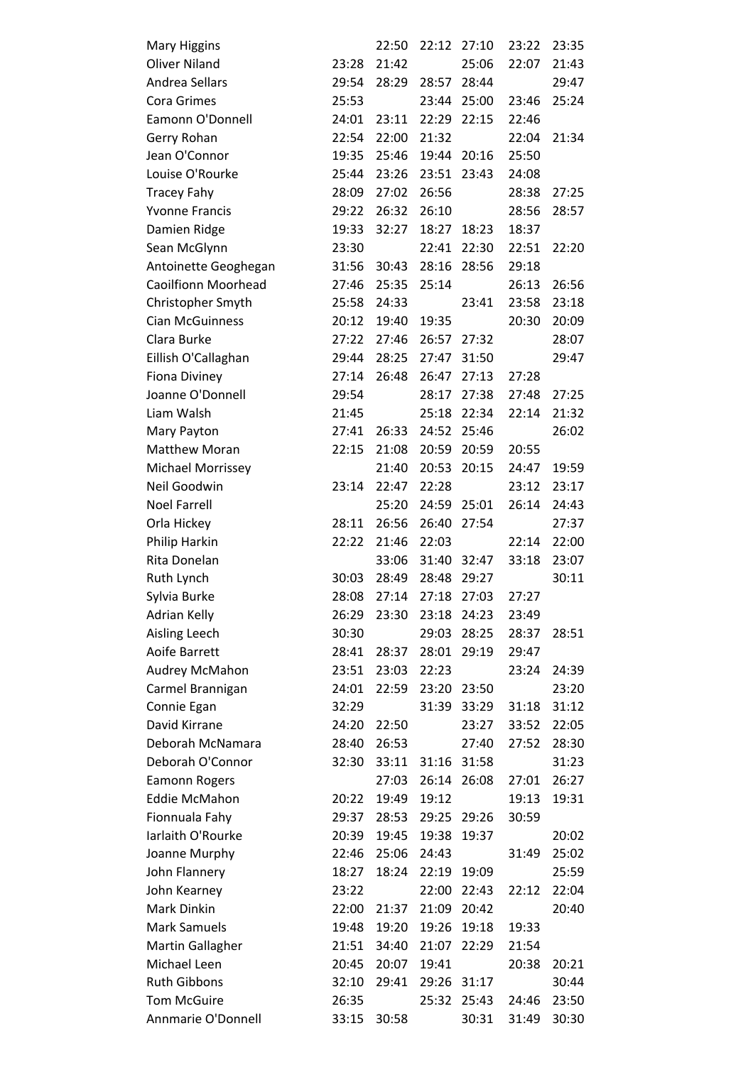| <b>Mary Higgins</b>        |       | 22:50 | 22:12 | 27:10       | 23:22 | 23:35 |
|----------------------------|-------|-------|-------|-------------|-------|-------|
| <b>Oliver Niland</b>       | 23:28 | 21:42 |       | 25:06       | 22:07 | 21:43 |
| Andrea Sellars             | 29:54 | 28:29 | 28:57 | 28:44       |       | 29:47 |
| <b>Cora Grimes</b>         | 25:53 |       | 23:44 | 25:00       | 23:46 | 25:24 |
| Eamonn O'Donnell           | 24:01 | 23:11 | 22:29 | 22:15       | 22:46 |       |
| Gerry Rohan                | 22:54 | 22:00 | 21:32 |             | 22:04 | 21:34 |
| Jean O'Connor              | 19:35 | 25:46 |       | 19:44 20:16 | 25:50 |       |
| Louise O'Rourke            | 25:44 | 23:26 | 23:51 | 23:43       | 24:08 |       |
| <b>Tracey Fahy</b>         | 28:09 | 27:02 | 26:56 |             | 28:38 | 27:25 |
| <b>Yvonne Francis</b>      | 29:22 | 26:32 | 26:10 |             | 28:56 | 28:57 |
| Damien Ridge               | 19:33 | 32:27 | 18:27 | 18:23       | 18:37 |       |
| Sean McGlynn               | 23:30 |       | 22:41 | 22:30       | 22:51 | 22:20 |
| Antoinette Geoghegan       | 31:56 | 30:43 | 28:16 | 28:56       | 29:18 |       |
| <b>Caoilfionn Moorhead</b> | 27:46 | 25:35 | 25:14 |             | 26:13 | 26:56 |
| Christopher Smyth          | 25:58 | 24:33 |       | 23:41       | 23:58 | 23:18 |
| <b>Cian McGuinness</b>     | 20:12 | 19:40 | 19:35 |             | 20:30 | 20:09 |
| Clara Burke                | 27:22 | 27:46 |       | 26:57 27:32 |       | 28:07 |
| Eillish O'Callaghan        | 29:44 | 28:25 | 27:47 | 31:50       |       | 29:47 |
| <b>Fiona Diviney</b>       | 27:14 | 26:48 | 26:47 | 27:13       | 27:28 |       |
| Joanne O'Donnell           | 29:54 |       | 28:17 | 27:38       | 27:48 | 27:25 |
| Liam Walsh                 | 21:45 |       | 25:18 | 22:34       | 22:14 | 21:32 |
| Mary Payton                | 27:41 | 26:33 | 24:52 | 25:46       |       | 26:02 |
| <b>Matthew Moran</b>       | 22:15 | 21:08 | 20:59 | 20:59       | 20:55 |       |
| Michael Morrissey          |       | 21:40 | 20:53 | 20:15       | 24:47 | 19:59 |
| Neil Goodwin               | 23:14 | 22:47 | 22:28 |             | 23:12 | 23:17 |
| <b>Noel Farrell</b>        |       | 25:20 |       | 24:59 25:01 | 26:14 | 24:43 |
| Orla Hickey                | 28:11 | 26:56 | 26:40 | 27:54       |       | 27:37 |
| Philip Harkin              | 22:22 | 21:46 | 22:03 |             | 22:14 | 22:00 |
| Rita Donelan               |       | 33:06 | 31:40 | 32:47       | 33:18 | 23:07 |
| Ruth Lynch                 | 30:03 | 28:49 | 28:48 | 29:27       |       | 30:11 |
| Sylvia Burke               | 28:08 | 27:14 | 27:18 | 27:03       | 27:27 |       |
| Adrian Kelly               | 26:29 | 23:30 | 23:18 | 24:23       | 23:49 |       |
| Aisling Leech              | 30:30 |       | 29:03 | 28:25       | 28:37 | 28:51 |
| Aoife Barrett              | 28:41 | 28:37 | 28:01 | 29:19       | 29:47 |       |
| Audrey McMahon             | 23:51 | 23:03 | 22:23 |             | 23:24 | 24:39 |
| Carmel Brannigan           | 24:01 | 22:59 | 23:20 | 23:50       |       | 23:20 |
| Connie Egan                | 32:29 |       | 31:39 | 33:29       | 31:18 | 31:12 |
| David Kirrane              | 24:20 | 22:50 |       | 23:27       | 33:52 | 22:05 |
| Deborah McNamara           | 28:40 | 26:53 |       | 27:40       | 27:52 | 28:30 |
| Deborah O'Connor           | 32:30 | 33:11 | 31:16 | 31:58       |       | 31:23 |
| <b>Eamonn Rogers</b>       |       | 27:03 | 26:14 | 26:08       | 27:01 | 26:27 |
| <b>Eddie McMahon</b>       | 20:22 | 19:49 | 19:12 |             | 19:13 | 19:31 |
| Fionnuala Fahy             | 29:37 | 28:53 | 29:25 | 29:26       | 30:59 |       |
| Iarlaith O'Rourke          | 20:39 | 19:45 | 19:38 | 19:37       |       | 20:02 |
| Joanne Murphy              | 22:46 | 25:06 | 24:43 |             | 31:49 | 25:02 |
| John Flannery              | 18:27 | 18:24 | 22:19 | 19:09       |       | 25:59 |
| John Kearney               | 23:22 |       | 22:00 | 22:43       | 22:12 | 22:04 |
| Mark Dinkin                | 22:00 | 21:37 | 21:09 | 20:42       |       | 20:40 |
| <b>Mark Samuels</b>        | 19:48 | 19:20 | 19:26 | 19:18       | 19:33 |       |
| Martin Gallagher           | 21:51 | 34:40 | 21:07 | 22:29       | 21:54 |       |
| Michael Leen               | 20:45 | 20:07 | 19:41 |             | 20:38 | 20:21 |
| <b>Ruth Gibbons</b>        | 32:10 | 29:41 | 29:26 | 31:17       |       | 30:44 |
| <b>Tom McGuire</b>         | 26:35 |       | 25:32 | 25:43       | 24:46 | 23:50 |
| Annmarie O'Donnell         | 33:15 | 30:58 |       | 30:31       | 31:49 | 30:30 |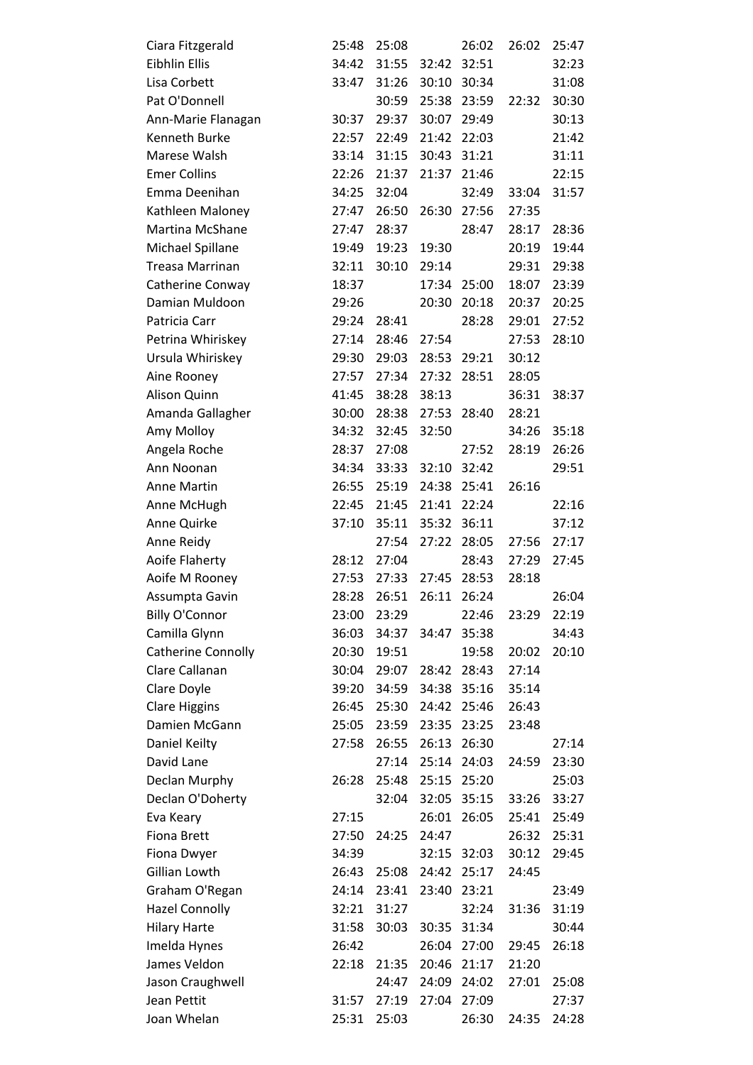| Eibhlin Ellis<br>31:55<br>32:51<br>34:42<br>32:42<br>32:23<br>Lisa Corbett<br>33:47<br>31:26<br>30:10<br>30:34<br>31:08<br>Pat O'Donnell<br>30:59<br>25:38<br>23:59<br>30:30<br>22:32<br>30:37<br>29:37<br>30:07<br>29:49<br>30:13<br>Ann-Marie Flanagan<br>Kenneth Burke<br>22:57<br>22:49<br>21:42<br>22:03<br>21:42<br>Marese Walsh<br>31:15<br>30:43<br>31:21<br>31:11<br>33:14<br><b>Emer Collins</b><br>22:26<br>21:37<br>21:37<br>21:46<br>22:15<br>Emma Deenihan<br>34:25<br>32:04<br>32:49<br>31:57<br>33:04<br>Kathleen Maloney<br>27:47<br>26:50<br>26:30<br>27:56<br>27:35<br>Martina McShane<br>27:47<br>28:37<br>28:17<br>28:36<br>28:47<br>Michael Spillane<br>19:30<br>20:19<br>19:44<br>19:49<br>19:23<br>30:10<br>Treasa Marrinan<br>32:11<br>29:14<br>29:31<br>29:38<br>Catherine Conway<br>18:37<br>17:34<br>25:00<br>18:07<br>23:39<br>Damian Muldoon<br>20:30<br>20:18<br>20:37<br>20:25<br>29:26<br>Patricia Carr<br>29:24<br>28:41<br>28:28<br>29:01<br>27:52<br>Petrina Whiriskey<br>27:14<br>28:46<br>27:54<br>27:53<br>28:10<br>Ursula Whiriskey<br>29:03<br>28:53<br>29:21<br>30:12<br>29:30<br>27:34<br>27:32<br>28:51<br>28:05<br>Aine Rooney<br>27:57<br>Alison Quinn<br>41:45<br>38:28<br>38:13<br>36:31<br>38:37<br>Amanda Gallagher<br>30:00<br>28:38<br>27:53<br>28:40<br>28:21<br>Amy Molloy<br>34:32<br>32:45<br>32:50<br>34:26<br>35:18<br>Angela Roche<br>27:08<br>27:52<br>28:19<br>26:26<br>28:37<br>32:10<br>Ann Noonan<br>33:33<br>32:42<br>29:51<br>34:34<br><b>Anne Martin</b><br>26:55<br>25:19<br>24:38<br>25:41<br>26:16<br>Anne McHugh<br>22:45<br>21:45<br>21:41<br>22:24<br>22:16<br>35:11<br>Anne Quirke<br>37:10<br>35:32<br>36:11<br>37:12<br>27:17<br>Anne Reidy<br>27:54<br>27:22<br>28:05<br>27:56<br>Aoife Flaherty<br>28:12<br>27:29<br>27:04<br>28:43<br>27:45<br>Aoife M Rooney<br>27:53<br>27:33<br>27:45<br>28:53<br>28:18<br>Assumpta Gavin<br>28:28<br>26:51<br>26:11<br>26:04<br>26:24<br><b>Billy O'Connor</b><br>23:00<br>23:29<br>22:46<br>22:19<br>23:29<br>Camilla Glynn<br>36:03<br>34:37<br>34:47<br>35:38<br>34:43<br>Catherine Connolly<br>20:30<br>19:51<br>19:58<br>20:02<br>20:10<br>Clare Callanan<br>30:04<br>29:07<br>28:42<br>28:43<br>27:14<br>Clare Doyle<br>34:59<br>34:38<br>35:16<br>35:14<br>39:20<br><b>Clare Higgins</b><br>26:45<br>25:30<br>24:42<br>25:46<br>26:43<br>Damien McGann<br>23:35<br>23:48<br>25:05<br>23:59<br>23:25<br>Daniel Keilty<br>27:58<br>26:55<br>26:13<br>26:30<br>27:14<br>David Lane<br>27:14<br>25:14<br>24:03<br>24:59<br>23:30<br>Declan Murphy<br>26:28<br>25:15<br>25:20<br>25:03<br>25:48<br>Declan O'Doherty<br>32:04<br>32:05<br>35:15<br>33:26<br>33:27 |
|---------------------------------------------------------------------------------------------------------------------------------------------------------------------------------------------------------------------------------------------------------------------------------------------------------------------------------------------------------------------------------------------------------------------------------------------------------------------------------------------------------------------------------------------------------------------------------------------------------------------------------------------------------------------------------------------------------------------------------------------------------------------------------------------------------------------------------------------------------------------------------------------------------------------------------------------------------------------------------------------------------------------------------------------------------------------------------------------------------------------------------------------------------------------------------------------------------------------------------------------------------------------------------------------------------------------------------------------------------------------------------------------------------------------------------------------------------------------------------------------------------------------------------------------------------------------------------------------------------------------------------------------------------------------------------------------------------------------------------------------------------------------------------------------------------------------------------------------------------------------------------------------------------------------------------------------------------------------------------------------------------------------------------------------------------------------------------------------------------------------------------------------------------------------------------------------------------------------------------------------------------------------------------------------------------------------------------------------------------------------------------------------------------------------------------------------------------------------------------------------------------------------------------------------------------------------------------------------------------------------------------------------------------------------------------------|
|                                                                                                                                                                                                                                                                                                                                                                                                                                                                                                                                                                                                                                                                                                                                                                                                                                                                                                                                                                                                                                                                                                                                                                                                                                                                                                                                                                                                                                                                                                                                                                                                                                                                                                                                                                                                                                                                                                                                                                                                                                                                                                                                                                                                                                                                                                                                                                                                                                                                                                                                                                                                                                                                                       |
|                                                                                                                                                                                                                                                                                                                                                                                                                                                                                                                                                                                                                                                                                                                                                                                                                                                                                                                                                                                                                                                                                                                                                                                                                                                                                                                                                                                                                                                                                                                                                                                                                                                                                                                                                                                                                                                                                                                                                                                                                                                                                                                                                                                                                                                                                                                                                                                                                                                                                                                                                                                                                                                                                       |
|                                                                                                                                                                                                                                                                                                                                                                                                                                                                                                                                                                                                                                                                                                                                                                                                                                                                                                                                                                                                                                                                                                                                                                                                                                                                                                                                                                                                                                                                                                                                                                                                                                                                                                                                                                                                                                                                                                                                                                                                                                                                                                                                                                                                                                                                                                                                                                                                                                                                                                                                                                                                                                                                                       |
|                                                                                                                                                                                                                                                                                                                                                                                                                                                                                                                                                                                                                                                                                                                                                                                                                                                                                                                                                                                                                                                                                                                                                                                                                                                                                                                                                                                                                                                                                                                                                                                                                                                                                                                                                                                                                                                                                                                                                                                                                                                                                                                                                                                                                                                                                                                                                                                                                                                                                                                                                                                                                                                                                       |
|                                                                                                                                                                                                                                                                                                                                                                                                                                                                                                                                                                                                                                                                                                                                                                                                                                                                                                                                                                                                                                                                                                                                                                                                                                                                                                                                                                                                                                                                                                                                                                                                                                                                                                                                                                                                                                                                                                                                                                                                                                                                                                                                                                                                                                                                                                                                                                                                                                                                                                                                                                                                                                                                                       |
|                                                                                                                                                                                                                                                                                                                                                                                                                                                                                                                                                                                                                                                                                                                                                                                                                                                                                                                                                                                                                                                                                                                                                                                                                                                                                                                                                                                                                                                                                                                                                                                                                                                                                                                                                                                                                                                                                                                                                                                                                                                                                                                                                                                                                                                                                                                                                                                                                                                                                                                                                                                                                                                                                       |
|                                                                                                                                                                                                                                                                                                                                                                                                                                                                                                                                                                                                                                                                                                                                                                                                                                                                                                                                                                                                                                                                                                                                                                                                                                                                                                                                                                                                                                                                                                                                                                                                                                                                                                                                                                                                                                                                                                                                                                                                                                                                                                                                                                                                                                                                                                                                                                                                                                                                                                                                                                                                                                                                                       |
|                                                                                                                                                                                                                                                                                                                                                                                                                                                                                                                                                                                                                                                                                                                                                                                                                                                                                                                                                                                                                                                                                                                                                                                                                                                                                                                                                                                                                                                                                                                                                                                                                                                                                                                                                                                                                                                                                                                                                                                                                                                                                                                                                                                                                                                                                                                                                                                                                                                                                                                                                                                                                                                                                       |
|                                                                                                                                                                                                                                                                                                                                                                                                                                                                                                                                                                                                                                                                                                                                                                                                                                                                                                                                                                                                                                                                                                                                                                                                                                                                                                                                                                                                                                                                                                                                                                                                                                                                                                                                                                                                                                                                                                                                                                                                                                                                                                                                                                                                                                                                                                                                                                                                                                                                                                                                                                                                                                                                                       |
|                                                                                                                                                                                                                                                                                                                                                                                                                                                                                                                                                                                                                                                                                                                                                                                                                                                                                                                                                                                                                                                                                                                                                                                                                                                                                                                                                                                                                                                                                                                                                                                                                                                                                                                                                                                                                                                                                                                                                                                                                                                                                                                                                                                                                                                                                                                                                                                                                                                                                                                                                                                                                                                                                       |
|                                                                                                                                                                                                                                                                                                                                                                                                                                                                                                                                                                                                                                                                                                                                                                                                                                                                                                                                                                                                                                                                                                                                                                                                                                                                                                                                                                                                                                                                                                                                                                                                                                                                                                                                                                                                                                                                                                                                                                                                                                                                                                                                                                                                                                                                                                                                                                                                                                                                                                                                                                                                                                                                                       |
|                                                                                                                                                                                                                                                                                                                                                                                                                                                                                                                                                                                                                                                                                                                                                                                                                                                                                                                                                                                                                                                                                                                                                                                                                                                                                                                                                                                                                                                                                                                                                                                                                                                                                                                                                                                                                                                                                                                                                                                                                                                                                                                                                                                                                                                                                                                                                                                                                                                                                                                                                                                                                                                                                       |
|                                                                                                                                                                                                                                                                                                                                                                                                                                                                                                                                                                                                                                                                                                                                                                                                                                                                                                                                                                                                                                                                                                                                                                                                                                                                                                                                                                                                                                                                                                                                                                                                                                                                                                                                                                                                                                                                                                                                                                                                                                                                                                                                                                                                                                                                                                                                                                                                                                                                                                                                                                                                                                                                                       |
|                                                                                                                                                                                                                                                                                                                                                                                                                                                                                                                                                                                                                                                                                                                                                                                                                                                                                                                                                                                                                                                                                                                                                                                                                                                                                                                                                                                                                                                                                                                                                                                                                                                                                                                                                                                                                                                                                                                                                                                                                                                                                                                                                                                                                                                                                                                                                                                                                                                                                                                                                                                                                                                                                       |
|                                                                                                                                                                                                                                                                                                                                                                                                                                                                                                                                                                                                                                                                                                                                                                                                                                                                                                                                                                                                                                                                                                                                                                                                                                                                                                                                                                                                                                                                                                                                                                                                                                                                                                                                                                                                                                                                                                                                                                                                                                                                                                                                                                                                                                                                                                                                                                                                                                                                                                                                                                                                                                                                                       |
|                                                                                                                                                                                                                                                                                                                                                                                                                                                                                                                                                                                                                                                                                                                                                                                                                                                                                                                                                                                                                                                                                                                                                                                                                                                                                                                                                                                                                                                                                                                                                                                                                                                                                                                                                                                                                                                                                                                                                                                                                                                                                                                                                                                                                                                                                                                                                                                                                                                                                                                                                                                                                                                                                       |
|                                                                                                                                                                                                                                                                                                                                                                                                                                                                                                                                                                                                                                                                                                                                                                                                                                                                                                                                                                                                                                                                                                                                                                                                                                                                                                                                                                                                                                                                                                                                                                                                                                                                                                                                                                                                                                                                                                                                                                                                                                                                                                                                                                                                                                                                                                                                                                                                                                                                                                                                                                                                                                                                                       |
|                                                                                                                                                                                                                                                                                                                                                                                                                                                                                                                                                                                                                                                                                                                                                                                                                                                                                                                                                                                                                                                                                                                                                                                                                                                                                                                                                                                                                                                                                                                                                                                                                                                                                                                                                                                                                                                                                                                                                                                                                                                                                                                                                                                                                                                                                                                                                                                                                                                                                                                                                                                                                                                                                       |
|                                                                                                                                                                                                                                                                                                                                                                                                                                                                                                                                                                                                                                                                                                                                                                                                                                                                                                                                                                                                                                                                                                                                                                                                                                                                                                                                                                                                                                                                                                                                                                                                                                                                                                                                                                                                                                                                                                                                                                                                                                                                                                                                                                                                                                                                                                                                                                                                                                                                                                                                                                                                                                                                                       |
|                                                                                                                                                                                                                                                                                                                                                                                                                                                                                                                                                                                                                                                                                                                                                                                                                                                                                                                                                                                                                                                                                                                                                                                                                                                                                                                                                                                                                                                                                                                                                                                                                                                                                                                                                                                                                                                                                                                                                                                                                                                                                                                                                                                                                                                                                                                                                                                                                                                                                                                                                                                                                                                                                       |
|                                                                                                                                                                                                                                                                                                                                                                                                                                                                                                                                                                                                                                                                                                                                                                                                                                                                                                                                                                                                                                                                                                                                                                                                                                                                                                                                                                                                                                                                                                                                                                                                                                                                                                                                                                                                                                                                                                                                                                                                                                                                                                                                                                                                                                                                                                                                                                                                                                                                                                                                                                                                                                                                                       |
|                                                                                                                                                                                                                                                                                                                                                                                                                                                                                                                                                                                                                                                                                                                                                                                                                                                                                                                                                                                                                                                                                                                                                                                                                                                                                                                                                                                                                                                                                                                                                                                                                                                                                                                                                                                                                                                                                                                                                                                                                                                                                                                                                                                                                                                                                                                                                                                                                                                                                                                                                                                                                                                                                       |
|                                                                                                                                                                                                                                                                                                                                                                                                                                                                                                                                                                                                                                                                                                                                                                                                                                                                                                                                                                                                                                                                                                                                                                                                                                                                                                                                                                                                                                                                                                                                                                                                                                                                                                                                                                                                                                                                                                                                                                                                                                                                                                                                                                                                                                                                                                                                                                                                                                                                                                                                                                                                                                                                                       |
|                                                                                                                                                                                                                                                                                                                                                                                                                                                                                                                                                                                                                                                                                                                                                                                                                                                                                                                                                                                                                                                                                                                                                                                                                                                                                                                                                                                                                                                                                                                                                                                                                                                                                                                                                                                                                                                                                                                                                                                                                                                                                                                                                                                                                                                                                                                                                                                                                                                                                                                                                                                                                                                                                       |
|                                                                                                                                                                                                                                                                                                                                                                                                                                                                                                                                                                                                                                                                                                                                                                                                                                                                                                                                                                                                                                                                                                                                                                                                                                                                                                                                                                                                                                                                                                                                                                                                                                                                                                                                                                                                                                                                                                                                                                                                                                                                                                                                                                                                                                                                                                                                                                                                                                                                                                                                                                                                                                                                                       |
|                                                                                                                                                                                                                                                                                                                                                                                                                                                                                                                                                                                                                                                                                                                                                                                                                                                                                                                                                                                                                                                                                                                                                                                                                                                                                                                                                                                                                                                                                                                                                                                                                                                                                                                                                                                                                                                                                                                                                                                                                                                                                                                                                                                                                                                                                                                                                                                                                                                                                                                                                                                                                                                                                       |
|                                                                                                                                                                                                                                                                                                                                                                                                                                                                                                                                                                                                                                                                                                                                                                                                                                                                                                                                                                                                                                                                                                                                                                                                                                                                                                                                                                                                                                                                                                                                                                                                                                                                                                                                                                                                                                                                                                                                                                                                                                                                                                                                                                                                                                                                                                                                                                                                                                                                                                                                                                                                                                                                                       |
|                                                                                                                                                                                                                                                                                                                                                                                                                                                                                                                                                                                                                                                                                                                                                                                                                                                                                                                                                                                                                                                                                                                                                                                                                                                                                                                                                                                                                                                                                                                                                                                                                                                                                                                                                                                                                                                                                                                                                                                                                                                                                                                                                                                                                                                                                                                                                                                                                                                                                                                                                                                                                                                                                       |
|                                                                                                                                                                                                                                                                                                                                                                                                                                                                                                                                                                                                                                                                                                                                                                                                                                                                                                                                                                                                                                                                                                                                                                                                                                                                                                                                                                                                                                                                                                                                                                                                                                                                                                                                                                                                                                                                                                                                                                                                                                                                                                                                                                                                                                                                                                                                                                                                                                                                                                                                                                                                                                                                                       |
|                                                                                                                                                                                                                                                                                                                                                                                                                                                                                                                                                                                                                                                                                                                                                                                                                                                                                                                                                                                                                                                                                                                                                                                                                                                                                                                                                                                                                                                                                                                                                                                                                                                                                                                                                                                                                                                                                                                                                                                                                                                                                                                                                                                                                                                                                                                                                                                                                                                                                                                                                                                                                                                                                       |
|                                                                                                                                                                                                                                                                                                                                                                                                                                                                                                                                                                                                                                                                                                                                                                                                                                                                                                                                                                                                                                                                                                                                                                                                                                                                                                                                                                                                                                                                                                                                                                                                                                                                                                                                                                                                                                                                                                                                                                                                                                                                                                                                                                                                                                                                                                                                                                                                                                                                                                                                                                                                                                                                                       |
|                                                                                                                                                                                                                                                                                                                                                                                                                                                                                                                                                                                                                                                                                                                                                                                                                                                                                                                                                                                                                                                                                                                                                                                                                                                                                                                                                                                                                                                                                                                                                                                                                                                                                                                                                                                                                                                                                                                                                                                                                                                                                                                                                                                                                                                                                                                                                                                                                                                                                                                                                                                                                                                                                       |
|                                                                                                                                                                                                                                                                                                                                                                                                                                                                                                                                                                                                                                                                                                                                                                                                                                                                                                                                                                                                                                                                                                                                                                                                                                                                                                                                                                                                                                                                                                                                                                                                                                                                                                                                                                                                                                                                                                                                                                                                                                                                                                                                                                                                                                                                                                                                                                                                                                                                                                                                                                                                                                                                                       |
|                                                                                                                                                                                                                                                                                                                                                                                                                                                                                                                                                                                                                                                                                                                                                                                                                                                                                                                                                                                                                                                                                                                                                                                                                                                                                                                                                                                                                                                                                                                                                                                                                                                                                                                                                                                                                                                                                                                                                                                                                                                                                                                                                                                                                                                                                                                                                                                                                                                                                                                                                                                                                                                                                       |
|                                                                                                                                                                                                                                                                                                                                                                                                                                                                                                                                                                                                                                                                                                                                                                                                                                                                                                                                                                                                                                                                                                                                                                                                                                                                                                                                                                                                                                                                                                                                                                                                                                                                                                                                                                                                                                                                                                                                                                                                                                                                                                                                                                                                                                                                                                                                                                                                                                                                                                                                                                                                                                                                                       |
|                                                                                                                                                                                                                                                                                                                                                                                                                                                                                                                                                                                                                                                                                                                                                                                                                                                                                                                                                                                                                                                                                                                                                                                                                                                                                                                                                                                                                                                                                                                                                                                                                                                                                                                                                                                                                                                                                                                                                                                                                                                                                                                                                                                                                                                                                                                                                                                                                                                                                                                                                                                                                                                                                       |
|                                                                                                                                                                                                                                                                                                                                                                                                                                                                                                                                                                                                                                                                                                                                                                                                                                                                                                                                                                                                                                                                                                                                                                                                                                                                                                                                                                                                                                                                                                                                                                                                                                                                                                                                                                                                                                                                                                                                                                                                                                                                                                                                                                                                                                                                                                                                                                                                                                                                                                                                                                                                                                                                                       |
|                                                                                                                                                                                                                                                                                                                                                                                                                                                                                                                                                                                                                                                                                                                                                                                                                                                                                                                                                                                                                                                                                                                                                                                                                                                                                                                                                                                                                                                                                                                                                                                                                                                                                                                                                                                                                                                                                                                                                                                                                                                                                                                                                                                                                                                                                                                                                                                                                                                                                                                                                                                                                                                                                       |
|                                                                                                                                                                                                                                                                                                                                                                                                                                                                                                                                                                                                                                                                                                                                                                                                                                                                                                                                                                                                                                                                                                                                                                                                                                                                                                                                                                                                                                                                                                                                                                                                                                                                                                                                                                                                                                                                                                                                                                                                                                                                                                                                                                                                                                                                                                                                                                                                                                                                                                                                                                                                                                                                                       |
|                                                                                                                                                                                                                                                                                                                                                                                                                                                                                                                                                                                                                                                                                                                                                                                                                                                                                                                                                                                                                                                                                                                                                                                                                                                                                                                                                                                                                                                                                                                                                                                                                                                                                                                                                                                                                                                                                                                                                                                                                                                                                                                                                                                                                                                                                                                                                                                                                                                                                                                                                                                                                                                                                       |
|                                                                                                                                                                                                                                                                                                                                                                                                                                                                                                                                                                                                                                                                                                                                                                                                                                                                                                                                                                                                                                                                                                                                                                                                                                                                                                                                                                                                                                                                                                                                                                                                                                                                                                                                                                                                                                                                                                                                                                                                                                                                                                                                                                                                                                                                                                                                                                                                                                                                                                                                                                                                                                                                                       |
| 27:15<br>26:01<br>26:05<br>25:49<br>Eva Keary<br>25:41                                                                                                                                                                                                                                                                                                                                                                                                                                                                                                                                                                                                                                                                                                                                                                                                                                                                                                                                                                                                                                                                                                                                                                                                                                                                                                                                                                                                                                                                                                                                                                                                                                                                                                                                                                                                                                                                                                                                                                                                                                                                                                                                                                                                                                                                                                                                                                                                                                                                                                                                                                                                                                |
| <b>Fiona Brett</b><br>27:50<br>24:25<br>24:47<br>26:32<br>25:31                                                                                                                                                                                                                                                                                                                                                                                                                                                                                                                                                                                                                                                                                                                                                                                                                                                                                                                                                                                                                                                                                                                                                                                                                                                                                                                                                                                                                                                                                                                                                                                                                                                                                                                                                                                                                                                                                                                                                                                                                                                                                                                                                                                                                                                                                                                                                                                                                                                                                                                                                                                                                       |
| 32:15<br>30:12<br>Fiona Dwyer<br>34:39<br>32:03<br>29:45                                                                                                                                                                                                                                                                                                                                                                                                                                                                                                                                                                                                                                                                                                                                                                                                                                                                                                                                                                                                                                                                                                                                                                                                                                                                                                                                                                                                                                                                                                                                                                                                                                                                                                                                                                                                                                                                                                                                                                                                                                                                                                                                                                                                                                                                                                                                                                                                                                                                                                                                                                                                                              |
| Gillian Lowth<br>26:43<br>25:08<br>24:42<br>25:17<br>24:45                                                                                                                                                                                                                                                                                                                                                                                                                                                                                                                                                                                                                                                                                                                                                                                                                                                                                                                                                                                                                                                                                                                                                                                                                                                                                                                                                                                                                                                                                                                                                                                                                                                                                                                                                                                                                                                                                                                                                                                                                                                                                                                                                                                                                                                                                                                                                                                                                                                                                                                                                                                                                            |
| Graham O'Regan<br>24:14<br>23:41<br>23:40<br>23:21<br>23:49                                                                                                                                                                                                                                                                                                                                                                                                                                                                                                                                                                                                                                                                                                                                                                                                                                                                                                                                                                                                                                                                                                                                                                                                                                                                                                                                                                                                                                                                                                                                                                                                                                                                                                                                                                                                                                                                                                                                                                                                                                                                                                                                                                                                                                                                                                                                                                                                                                                                                                                                                                                                                           |
| <b>Hazel Connolly</b><br>32:21<br>32:24<br>31:36<br>31:19<br>31:27                                                                                                                                                                                                                                                                                                                                                                                                                                                                                                                                                                                                                                                                                                                                                                                                                                                                                                                                                                                                                                                                                                                                                                                                                                                                                                                                                                                                                                                                                                                                                                                                                                                                                                                                                                                                                                                                                                                                                                                                                                                                                                                                                                                                                                                                                                                                                                                                                                                                                                                                                                                                                    |
| <b>Hilary Harte</b><br>31:58<br>30:03<br>30:35<br>31:34<br>30:44                                                                                                                                                                                                                                                                                                                                                                                                                                                                                                                                                                                                                                                                                                                                                                                                                                                                                                                                                                                                                                                                                                                                                                                                                                                                                                                                                                                                                                                                                                                                                                                                                                                                                                                                                                                                                                                                                                                                                                                                                                                                                                                                                                                                                                                                                                                                                                                                                                                                                                                                                                                                                      |
| Imelda Hynes<br>26:42<br>26:04<br>29:45<br>27:00<br>26:18                                                                                                                                                                                                                                                                                                                                                                                                                                                                                                                                                                                                                                                                                                                                                                                                                                                                                                                                                                                                                                                                                                                                                                                                                                                                                                                                                                                                                                                                                                                                                                                                                                                                                                                                                                                                                                                                                                                                                                                                                                                                                                                                                                                                                                                                                                                                                                                                                                                                                                                                                                                                                             |
| James Veldon<br>22:18<br>21:35<br>20:46<br>21:17<br>21:20                                                                                                                                                                                                                                                                                                                                                                                                                                                                                                                                                                                                                                                                                                                                                                                                                                                                                                                                                                                                                                                                                                                                                                                                                                                                                                                                                                                                                                                                                                                                                                                                                                                                                                                                                                                                                                                                                                                                                                                                                                                                                                                                                                                                                                                                                                                                                                                                                                                                                                                                                                                                                             |
| Jason Craughwell<br>24:47<br>24:09<br>24:02<br>27:01<br>25:08                                                                                                                                                                                                                                                                                                                                                                                                                                                                                                                                                                                                                                                                                                                                                                                                                                                                                                                                                                                                                                                                                                                                                                                                                                                                                                                                                                                                                                                                                                                                                                                                                                                                                                                                                                                                                                                                                                                                                                                                                                                                                                                                                                                                                                                                                                                                                                                                                                                                                                                                                                                                                         |
| Jean Pettit<br>31:57<br>27:19<br>27:04<br>27:09<br>27:37                                                                                                                                                                                                                                                                                                                                                                                                                                                                                                                                                                                                                                                                                                                                                                                                                                                                                                                                                                                                                                                                                                                                                                                                                                                                                                                                                                                                                                                                                                                                                                                                                                                                                                                                                                                                                                                                                                                                                                                                                                                                                                                                                                                                                                                                                                                                                                                                                                                                                                                                                                                                                              |
| Joan Whelan<br>25:31<br>25:03<br>26:30<br>24:35<br>24:28                                                                                                                                                                                                                                                                                                                                                                                                                                                                                                                                                                                                                                                                                                                                                                                                                                                                                                                                                                                                                                                                                                                                                                                                                                                                                                                                                                                                                                                                                                                                                                                                                                                                                                                                                                                                                                                                                                                                                                                                                                                                                                                                                                                                                                                                                                                                                                                                                                                                                                                                                                                                                              |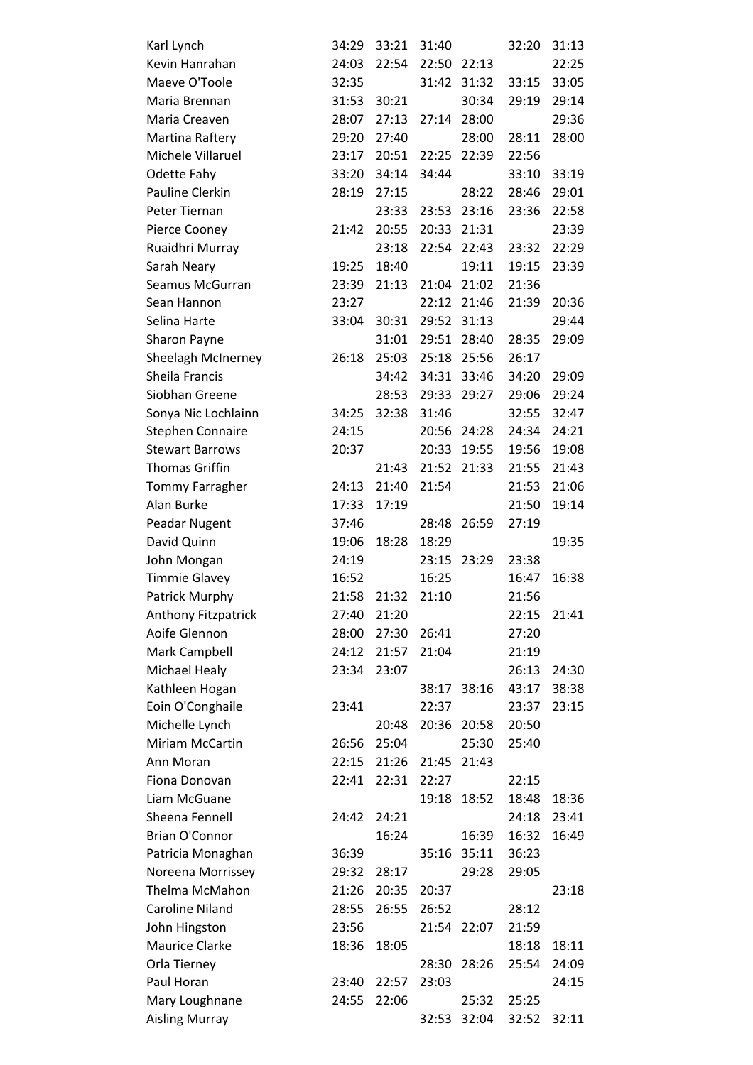| Karl Lynch                 | 34:29 | 33:21 | 31:40 |             | 32:20 | 31:13 |
|----------------------------|-------|-------|-------|-------------|-------|-------|
| Kevin Hanrahan             | 24:03 | 22:54 | 22:50 | 22:13       |       | 22:25 |
| Maeve O'Toole              | 32:35 |       | 31:42 | 31:32       | 33:15 | 33:05 |
| Maria Brennan              | 31:53 | 30:21 |       | 30:34       | 29:19 | 29:14 |
| Maria Creaven              | 28:07 | 27:13 | 27:14 | 28:00       |       | 29:36 |
| Martina Raftery            | 29:20 | 27:40 |       | 28:00       | 28:11 | 28:00 |
| Michele Villaruel          | 23:17 | 20:51 | 22:25 | 22:39       | 22:56 |       |
| Odette Fahy                | 33:20 | 34:14 | 34:44 |             | 33:10 | 33:19 |
| Pauline Clerkin            | 28:19 | 27:15 |       | 28:22       | 28:46 | 29:01 |
| Peter Tiernan              |       | 23:33 | 23:53 | 23:16       | 23:36 | 22:58 |
| Pierce Cooney              | 21:42 | 20:55 | 20:33 | 21:31       |       | 23:39 |
| Ruaidhri Murray            |       | 23:18 | 22:54 | 22:43       | 23:32 | 22:29 |
| Sarah Neary                | 19:25 | 18:40 |       | 19:11       | 19:15 | 23:39 |
| Seamus McGurran            | 23:39 | 21:13 | 21:04 | 21:02       | 21:36 |       |
| Sean Hannon                | 23:27 |       | 22:12 | 21:46       | 21:39 | 20:36 |
| Selina Harte               | 33:04 | 30:31 | 29:52 | 31:13       |       | 29:44 |
| Sharon Payne               |       | 31:01 | 29:51 | 28:40       | 28:35 | 29:09 |
| Sheelagh McInerney         | 26:18 | 25:03 | 25:18 | 25:56       | 26:17 |       |
| Sheila Francis             |       | 34:42 | 34:31 | 33:46       | 34:20 | 29:09 |
| Siobhan Greene             |       | 28:53 | 29:33 | 29:27       | 29:06 | 29:24 |
| Sonya Nic Lochlainn        | 34:25 | 32:38 | 31:46 |             | 32:55 | 32:47 |
| <b>Stephen Connaire</b>    | 24:15 |       | 20:56 | 24:28       | 24:34 | 24:21 |
| <b>Stewart Barrows</b>     | 20:37 |       | 20:33 | 19:55       | 19:56 | 19:08 |
| <b>Thomas Griffin</b>      |       | 21:43 | 21:52 | 21:33       | 21:55 | 21:43 |
| Tommy Farragher            | 24:13 | 21:40 | 21:54 |             | 21:53 | 21:06 |
| Alan Burke                 | 17:33 | 17:19 |       |             | 21:50 | 19:14 |
| Peadar Nugent              | 37:46 |       | 28:48 | 26:59       | 27:19 |       |
| David Quinn                | 19:06 | 18:28 | 18:29 |             |       | 19:35 |
| John Mongan                | 24:19 |       |       | 23:15 23:29 | 23:38 |       |
| <b>Timmie Glavey</b>       | 16:52 |       | 16:25 |             | 16:47 | 16:38 |
| Patrick Murphy             | 21:58 | 21:32 | 21:10 |             | 21:56 |       |
| <b>Anthony Fitzpatrick</b> |       | 21:20 |       |             | 22:15 | 21:41 |
|                            | 27:40 |       |       |             |       |       |
| Aoife Glennon              | 28:00 | 27:30 | 26:41 |             | 27:20 |       |
| Mark Campbell              | 24:12 | 21:57 | 21:04 |             | 21:19 |       |
| <b>Michael Healy</b>       | 23:34 | 23:07 |       |             | 26:13 | 24:30 |
| Kathleen Hogan             |       |       | 38:17 | 38:16       | 43:17 | 38:38 |
| Eoin O'Conghaile           | 23:41 |       | 22:37 |             | 23:37 | 23:15 |
| Michelle Lynch             |       | 20:48 | 20:36 | 20:58       | 20:50 |       |
| <b>Miriam McCartin</b>     | 26:56 | 25:04 |       | 25:30       | 25:40 |       |
| Ann Moran                  | 22:15 | 21:26 | 21:45 | 21:43       |       |       |
| Fiona Donovan              | 22:41 | 22:31 | 22:27 |             | 22:15 |       |
| Liam McGuane               |       |       | 19:18 | 18:52       | 18:48 | 18:36 |
| Sheena Fennell             | 24:42 | 24:21 |       |             | 24:18 | 23:41 |
| <b>Brian O'Connor</b>      |       | 16:24 |       | 16:39       | 16:32 | 16:49 |
| Patricia Monaghan          | 36:39 |       | 35:16 | 35:11       | 36:23 |       |
| Noreena Morrissey          | 29:32 | 28:17 |       | 29:28       | 29:05 |       |
| Thelma McMahon             | 21:26 | 20:35 | 20:37 |             |       | 23:18 |
| <b>Caroline Niland</b>     | 28:55 | 26:55 | 26:52 |             | 28:12 |       |
| John Hingston              | 23:56 |       | 21:54 | 22:07       | 21:59 |       |
| <b>Maurice Clarke</b>      | 18:36 | 18:05 |       |             | 18:18 | 18:11 |
| Orla Tierney               |       |       | 28:30 | 28:26       | 25:54 | 24:09 |
| Paul Horan                 | 23:40 | 22:57 | 23:03 |             |       | 24:15 |
| Mary Loughnane             | 24:55 | 22:06 |       | 25:32       | 25:25 |       |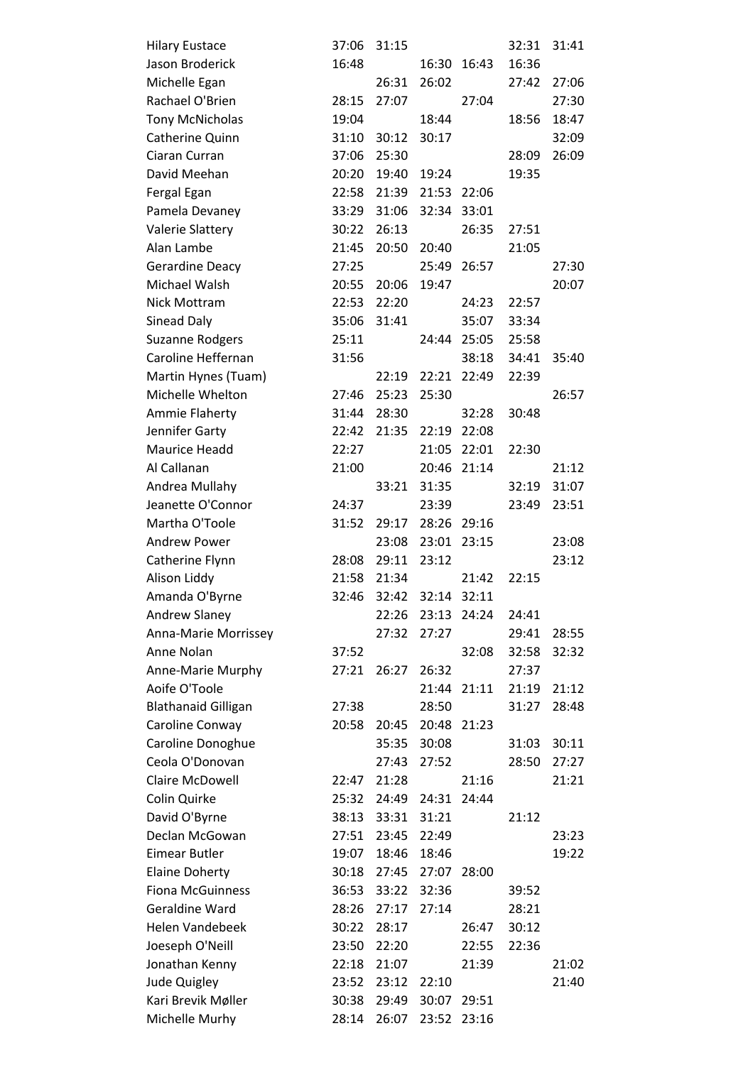| <b>Hilary Eustace</b>      | 37:06 | 31:15 |       |             | 32:31 | 31:41 |
|----------------------------|-------|-------|-------|-------------|-------|-------|
| Jason Broderick            | 16:48 |       | 16:30 | 16:43       | 16:36 |       |
| Michelle Egan              |       | 26:31 | 26:02 |             | 27:42 | 27:06 |
| Rachael O'Brien            | 28:15 | 27:07 |       | 27:04       |       | 27:30 |
| <b>Tony McNicholas</b>     | 19:04 |       | 18:44 |             | 18:56 | 18:47 |
| Catherine Quinn            | 31:10 | 30:12 | 30:17 |             |       | 32:09 |
| Ciaran Curran              | 37:06 | 25:30 |       |             | 28:09 | 26:09 |
| David Meehan               | 20:20 | 19:40 | 19:24 |             | 19:35 |       |
| Fergal Egan                | 22:58 | 21:39 | 21:53 | 22:06       |       |       |
| Pamela Devaney             | 33:29 | 31:06 |       | 32:34 33:01 |       |       |
| <b>Valerie Slattery</b>    | 30:22 | 26:13 |       | 26:35       | 27:51 |       |
| Alan Lambe                 | 21:45 | 20:50 | 20:40 |             | 21:05 |       |
| <b>Gerardine Deacy</b>     | 27:25 |       | 25:49 | 26:57       |       | 27:30 |
| Michael Walsh              | 20:55 | 20:06 | 19:47 |             |       | 20:07 |
| <b>Nick Mottram</b>        | 22:53 | 22:20 |       | 24:23       | 22:57 |       |
| Sinead Daly                | 35:06 | 31:41 |       | 35:07       | 33:34 |       |
| <b>Suzanne Rodgers</b>     | 25:11 |       | 24:44 | 25:05       | 25:58 |       |
| Caroline Heffernan         | 31:56 |       |       | 38:18       | 34:41 | 35:40 |
| Martin Hynes (Tuam)        |       | 22:19 | 22:21 | 22:49       | 22:39 |       |
| Michelle Whelton           | 27:46 | 25:23 | 25:30 |             |       | 26:57 |
| Ammie Flaherty             | 31:44 | 28:30 |       | 32:28       | 30:48 |       |
| Jennifer Garty             | 22:42 | 21:35 |       | 22:19 22:08 |       |       |
| <b>Maurice Headd</b>       | 22:27 |       | 21:05 | 22:01       | 22:30 |       |
| Al Callanan                | 21:00 |       |       | 20:46 21:14 |       | 21:12 |
| Andrea Mullahy             |       | 33:21 | 31:35 |             | 32:19 | 31:07 |
| Jeanette O'Connor          | 24:37 |       | 23:39 |             | 23:49 | 23:51 |
| Martha O'Toole             | 31:52 | 29:17 |       | 28:26 29:16 |       |       |
| <b>Andrew Power</b>        |       | 23:08 | 23:01 | 23:15       |       | 23:08 |
| Catherine Flynn            | 28:08 | 29:11 | 23:12 |             |       | 23:12 |
| Alison Liddy               | 21:58 | 21:34 |       | 21:42       | 22:15 |       |
| Amanda O'Byrne             | 32:46 | 32:42 | 32:14 | 32:11       |       |       |
| <b>Andrew Slaney</b>       |       | 22:26 | 23:13 | 24:24       | 24:41 |       |
| Anna-Marie Morrissey       |       | 27:32 | 27:27 |             | 29:41 | 28:55 |
| Anne Nolan                 | 37:52 |       |       | 32:08       | 32:58 | 32:32 |
| Anne-Marie Murphy          | 27:21 | 26:27 | 26:32 |             | 27:37 |       |
| Aoife O'Toole              |       |       | 21:44 | 21:11       | 21:19 | 21:12 |
| <b>Blathanaid Gilligan</b> | 27:38 |       | 28:50 |             | 31:27 | 28:48 |
| Caroline Conway            | 20:58 | 20:45 |       | 20:48 21:23 |       |       |
| Caroline Donoghue          |       | 35:35 | 30:08 |             | 31:03 | 30:11 |
| Ceola O'Donovan            |       | 27:43 | 27:52 |             | 28:50 | 27:27 |
| Claire McDowell            | 22:47 | 21:28 |       | 21:16       |       | 21:21 |
| Colin Quirke               | 25:32 | 24:49 | 24:31 | 24:44       |       |       |
| David O'Byrne              | 38:13 | 33:31 | 31:21 |             | 21:12 |       |
| Declan McGowan             | 27:51 | 23:45 | 22:49 |             |       | 23:23 |
| <b>Eimear Butler</b>       | 19:07 | 18:46 | 18:46 |             |       | 19:22 |
| <b>Elaine Doherty</b>      | 30:18 | 27:45 | 27:07 | 28:00       |       |       |
| <b>Fiona McGuinness</b>    | 36:53 | 33:22 | 32:36 |             | 39:52 |       |
| Geraldine Ward             | 28:26 | 27:17 | 27:14 |             | 28:21 |       |
| <b>Helen Vandebeek</b>     | 30:22 | 28:17 |       | 26:47       | 30:12 |       |
| Joeseph O'Neill            | 23:50 | 22:20 |       | 22:55       | 22:36 |       |
| Jonathan Kenny             | 22:18 | 21:07 |       | 21:39       |       | 21:02 |
| Jude Quigley               | 23:52 | 23:12 | 22:10 |             |       | 21:40 |
| Kari Brevik Møller         | 30:38 | 29:49 | 30:07 | 29:51       |       |       |
| Michelle Murhy             | 28:14 | 26:07 | 23:52 | 23:16       |       |       |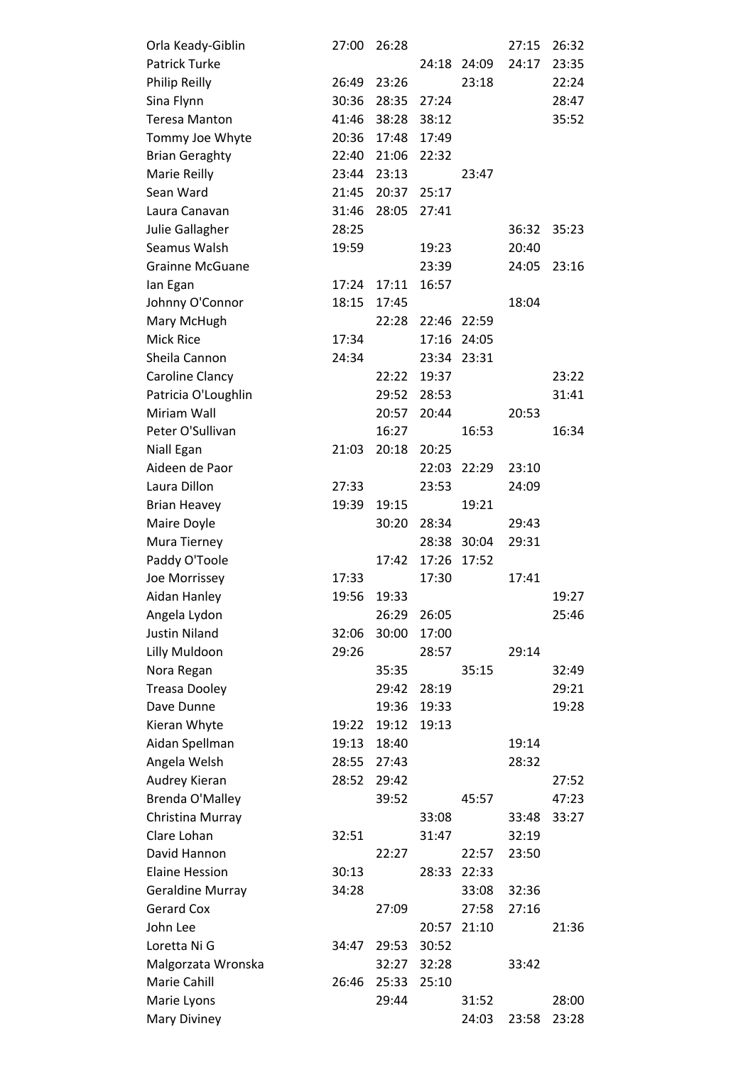| Orla Keady-Giblin       | 27:00 | 26:28 |       |             | 27:15 | 26:32 |
|-------------------------|-------|-------|-------|-------------|-------|-------|
| <b>Patrick Turke</b>    |       |       |       | 24:18 24:09 | 24:17 | 23:35 |
| Philip Reilly           | 26:49 | 23:26 |       | 23:18       |       | 22:24 |
| Sina Flynn              | 30:36 | 28:35 | 27:24 |             |       | 28:47 |
| <b>Teresa Manton</b>    | 41:46 | 38:28 | 38:12 |             |       | 35:52 |
| Tommy Joe Whyte         | 20:36 | 17:48 | 17:49 |             |       |       |
| <b>Brian Geraghty</b>   | 22:40 | 21:06 | 22:32 |             |       |       |
| Marie Reilly            | 23:44 | 23:13 |       | 23:47       |       |       |
| Sean Ward               | 21:45 | 20:37 | 25:17 |             |       |       |
| Laura Canavan           | 31:46 | 28:05 | 27:41 |             |       |       |
| Julie Gallagher         | 28:25 |       |       |             | 36:32 | 35:23 |
| Seamus Walsh            | 19:59 |       | 19:23 |             | 20:40 |       |
| <b>Grainne McGuane</b>  |       |       | 23:39 |             | 24:05 | 23:16 |
| lan Egan                | 17:24 | 17:11 | 16:57 |             |       |       |
| Johnny O'Connor         | 18:15 | 17:45 |       |             | 18:04 |       |
| Mary McHugh             |       | 22:28 |       | 22:46 22:59 |       |       |
| <b>Mick Rice</b>        | 17:34 |       |       | 17:16 24:05 |       |       |
| Sheila Cannon           | 24:34 |       | 23:34 | 23:31       |       |       |
| Caroline Clancy         |       | 22:22 | 19:37 |             |       | 23:22 |
| Patricia O'Loughlin     |       | 29:52 | 28:53 |             |       | 31:41 |
| Miriam Wall             |       | 20:57 | 20:44 |             | 20:53 |       |
| Peter O'Sullivan        |       | 16:27 |       | 16:53       |       | 16:34 |
| Niall Egan              | 21:03 | 20:18 | 20:25 |             |       |       |
| Aideen de Paor          |       |       | 22:03 | 22:29       | 23:10 |       |
| Laura Dillon            | 27:33 |       | 23:53 |             | 24:09 |       |
| <b>Brian Heavey</b>     | 19:39 | 19:15 |       | 19:21       |       |       |
| Maire Doyle             |       | 30:20 | 28:34 |             | 29:43 |       |
| Mura Tierney            |       |       |       | 28:38 30:04 | 29:31 |       |
| Paddy O'Toole           |       | 17:42 | 17:26 | 17:52       |       |       |
| Joe Morrissey           | 17:33 |       | 17:30 |             | 17:41 |       |
| Aidan Hanley            | 19:56 | 19:33 |       |             |       | 19:27 |
| Angela Lydon            |       | 26:29 | 26:05 |             |       | 25:46 |
| <b>Justin Niland</b>    | 32:06 | 30:00 | 17:00 |             |       |       |
| Lilly Muldoon           | 29:26 |       | 28:57 |             | 29:14 |       |
| Nora Regan              |       | 35:35 |       | 35:15       |       | 32:49 |
| <b>Treasa Dooley</b>    |       | 29:42 | 28:19 |             |       | 29:21 |
| Dave Dunne              |       | 19:36 | 19:33 |             |       | 19:28 |
| Kieran Whyte            | 19:22 | 19:12 | 19:13 |             |       |       |
| Aidan Spellman          | 19:13 | 18:40 |       |             | 19:14 |       |
| Angela Welsh            | 28:55 | 27:43 |       |             | 28:32 |       |
| Audrey Kieran           | 28:52 | 29:42 |       |             |       | 27:52 |
| Brenda O'Malley         |       | 39:52 |       | 45:57       |       | 47:23 |
| Christina Murray        |       |       | 33:08 |             | 33:48 | 33:27 |
| Clare Lohan             | 32:51 |       | 31:47 |             | 32:19 |       |
| David Hannon            |       | 22:27 |       | 22:57       | 23:50 |       |
| <b>Elaine Hession</b>   | 30:13 |       | 28:33 | 22:33       |       |       |
| <b>Geraldine Murray</b> | 34:28 |       |       | 33:08       | 32:36 |       |
| <b>Gerard Cox</b>       |       | 27:09 |       | 27:58       | 27:16 |       |
| John Lee                |       |       | 20:57 | 21:10       |       | 21:36 |
| Loretta Ni G            | 34:47 | 29:53 | 30:52 |             |       |       |
| Malgorzata Wronska      |       | 32:27 | 32:28 |             | 33:42 |       |
| Marie Cahill            | 26:46 | 25:33 | 25:10 |             |       |       |
| Marie Lyons             |       | 29:44 |       | 31:52       |       | 28:00 |
| Mary Diviney            |       |       |       | 24:03       | 23:58 | 23:28 |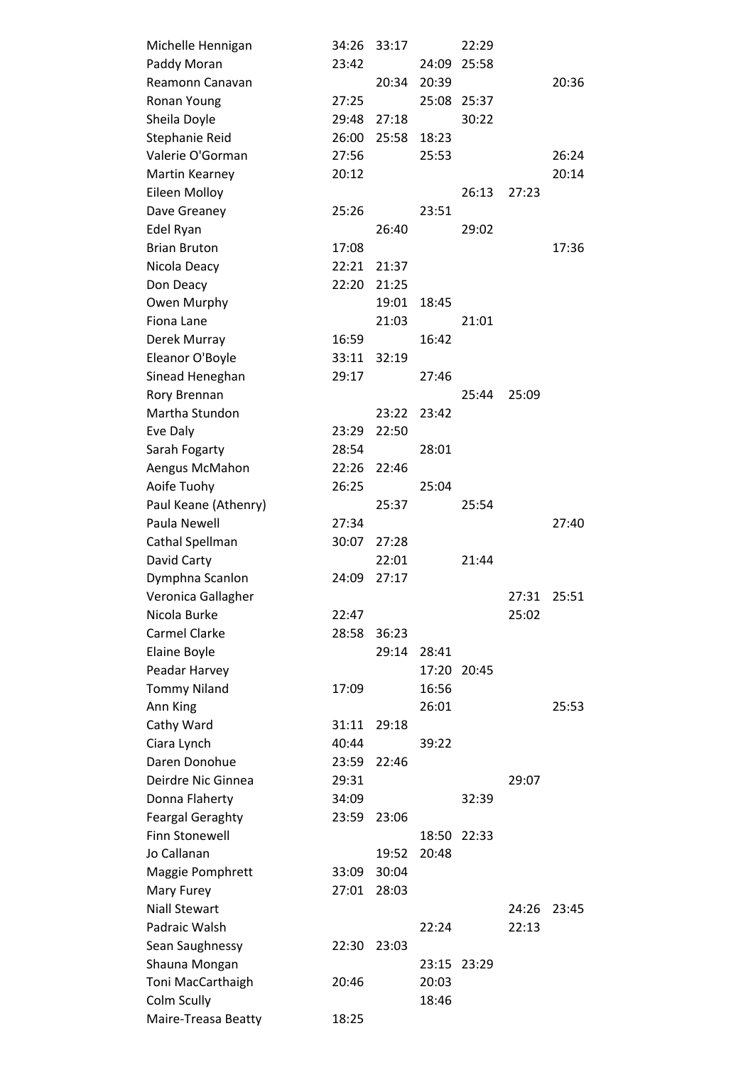| Michelle Hennigan       | 34:26 | 33:17 |       | 22:29       |       |       |
|-------------------------|-------|-------|-------|-------------|-------|-------|
| Paddy Moran             | 23:42 |       | 24:09 | 25:58       |       |       |
| Reamonn Canavan         |       | 20:34 | 20:39 |             |       | 20:36 |
| Ronan Young             | 27:25 |       |       | 25:08 25:37 |       |       |
| Sheila Doyle            | 29:48 | 27:18 |       | 30:22       |       |       |
| Stephanie Reid          | 26:00 | 25:58 | 18:23 |             |       |       |
| Valerie O'Gorman        | 27:56 |       | 25:53 |             |       | 26:24 |
| Martin Kearney          | 20:12 |       |       |             |       | 20:14 |
| Eileen Molloy           |       |       |       | 26:13       | 27:23 |       |
| Dave Greaney            | 25:26 |       | 23:51 |             |       |       |
| Edel Ryan               |       | 26:40 |       | 29:02       |       |       |
| <b>Brian Bruton</b>     | 17:08 |       |       |             |       | 17:36 |
| Nicola Deacy            | 22:21 | 21:37 |       |             |       |       |
| Don Deacy               | 22:20 | 21:25 |       |             |       |       |
| Owen Murphy             |       | 19:01 | 18:45 |             |       |       |
| Fiona Lane              |       | 21:03 |       | 21:01       |       |       |
| Derek Murray            | 16:59 |       | 16:42 |             |       |       |
| Eleanor O'Boyle         | 33:11 | 32:19 |       |             |       |       |
| Sinead Heneghan         | 29:17 |       | 27:46 |             |       |       |
| Rory Brennan            |       |       |       | 25:44       | 25:09 |       |
| Martha Stundon          |       | 23:22 | 23:42 |             |       |       |
| Eve Daly                | 23:29 | 22:50 |       |             |       |       |
| Sarah Fogarty           | 28:54 |       | 28:01 |             |       |       |
| Aengus McMahon          | 22:26 | 22:46 |       |             |       |       |
| Aoife Tuohy             | 26:25 |       | 25:04 |             |       |       |
| Paul Keane (Athenry)    |       | 25:37 |       | 25:54       |       |       |
| Paula Newell            | 27:34 |       |       |             |       | 27:40 |
| Cathal Spellman         | 30:07 | 27:28 |       |             |       |       |
| David Carty             |       | 22:01 |       | 21:44       |       |       |
| Dymphna Scanlon         | 24:09 | 27:17 |       |             |       |       |
| Veronica Gallagher      |       |       |       |             | 27:31 | 25:51 |
| Nicola Burke            | 22:47 |       |       |             | 25:02 |       |
| <b>Carmel Clarke</b>    | 28:58 | 36:23 |       |             |       |       |
| Elaine Boyle            |       | 29:14 | 28:41 |             |       |       |
| Peadar Harvey           |       |       | 17:20 | 20:45       |       |       |
| <b>Tommy Niland</b>     | 17:09 |       | 16:56 |             |       |       |
| Ann King                |       |       | 26:01 |             |       | 25:53 |
| Cathy Ward              | 31:11 | 29:18 |       |             |       |       |
| Ciara Lynch             | 40:44 |       | 39:22 |             |       |       |
| Daren Donohue           | 23:59 | 22:46 |       |             |       |       |
| Deirdre Nic Ginnea      | 29:31 |       |       |             | 29:07 |       |
| Donna Flaherty          | 34:09 |       |       | 32:39       |       |       |
| <b>Feargal Geraghty</b> | 23:59 | 23:06 |       |             |       |       |
| <b>Finn Stonewell</b>   |       |       |       | 18:50 22:33 |       |       |
| Jo Callanan             |       | 19:52 | 20:48 |             |       |       |
| Maggie Pomphrett        | 33:09 | 30:04 |       |             |       |       |
| Mary Furey              | 27:01 | 28:03 |       |             |       |       |
| <b>Niall Stewart</b>    |       |       |       |             | 24:26 | 23:45 |
| Padraic Walsh           |       |       | 22:24 |             | 22:13 |       |
| Sean Saughnessy         | 22:30 | 23:03 |       |             |       |       |
| Shauna Mongan           |       |       |       | 23:15 23:29 |       |       |
| Toni MacCarthaigh       | 20:46 |       | 20:03 |             |       |       |
| Colm Scully             |       |       | 18:46 |             |       |       |
| Maire-Treasa Beatty     | 18:25 |       |       |             |       |       |
|                         |       |       |       |             |       |       |